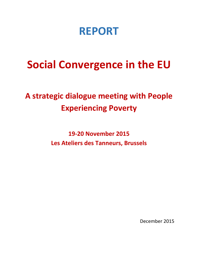# **REPORT**

# **Social Convergence in the EU**

# **A strategic dialogue meeting with People Experiencing Poverty**

**19-20 November 2015 Les Ateliers des Tanneurs, Brussels**

December 2015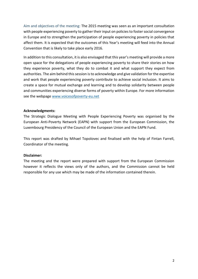Aim and objectives of the meeting: The 2015 meeting was seen as an important consultation with people experiencing poverty to gather their input on policies to foster social convergence in Europe and to strengthen the participation of people experiencing poverty in policies that affect them. It is expected that the outcomes of this Year's meeting will feed into the Annual Convention that is likely to take place early 2016.

In addition to this consultation, it is also envisaged that this year's meeting will provide a more open space for the delegations of people experiencing poverty to share their stories on how they experience poverty, what they do to combat it and what support they expect from authorities. The aim behind this session is to acknowledge and give validation for the expertise and work that people experiencing poverty contribute to achieve social inclusion. It aims to create a space for mutual exchange and learning and to develop solidarity between people and communities experiencing diverse forms of poverty within Europe. For more information see the webpage [www.voicesofpoverty-eu.net](http://www.voicesofpoverty-eu.net/)

# **Acknowledgments:**

The Strategic Dialogue Meeting with People Experiencing Poverty was organised by the European Anti-Poverty Network (EAPN) with support from the European Commission, the Luxembourg Presidency of the Council of the European Union and the EAPN Fund.

This report was drafted by Mihael Topolovec and finalised with the help of Fintan Farrell, Coordinator of the meeting.

#### **Disclaimer:**

The meeting and the report were prepared with support from the European Commission however it reflects the views only of the authors, and the Commission cannot be held responsible for any use which may be made of the information contained therein.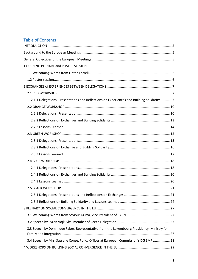# **Table of Contents**

| 2.1.1 Delegations' Presentations and Reflections on Experiences and Building Solidarity  7 |  |
|--------------------------------------------------------------------------------------------|--|
|                                                                                            |  |
|                                                                                            |  |
|                                                                                            |  |
|                                                                                            |  |
|                                                                                            |  |
|                                                                                            |  |
|                                                                                            |  |
|                                                                                            |  |
|                                                                                            |  |
|                                                                                            |  |
|                                                                                            |  |
|                                                                                            |  |
|                                                                                            |  |
|                                                                                            |  |
|                                                                                            |  |
|                                                                                            |  |
|                                                                                            |  |
|                                                                                            |  |
| 3.3 Speech by Dominique Faber, Representative from the Luxembourg Presidency, Ministry for |  |
| 3.4 Speech by Mrs. Sussane Conze, Policy Officer at European Commission's DG EMPL 28       |  |
|                                                                                            |  |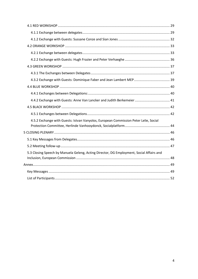| 4.5.2 Exchange with Guests: Istvan Vanyolos, European Commission Peter Lelie, Social     |  |
|------------------------------------------------------------------------------------------|--|
|                                                                                          |  |
|                                                                                          |  |
|                                                                                          |  |
| 5.3 Closing Speech by Manuela Geleng, Acting Director, DG Employment, Social Affairs and |  |
|                                                                                          |  |
|                                                                                          |  |
|                                                                                          |  |
|                                                                                          |  |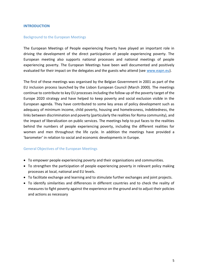#### <span id="page-4-0"></span>**INTRODUCTION**

#### <span id="page-4-1"></span>Background to the European Meetings

The European Meetings of People experiencing Poverty have played an important role in driving the development of the direct participation of people experiencing poverty. The European meeting also supports national processes and national meetings of people experiencing poverty. The European Meetings have been well documented and positively evaluated for their impact on the delegates and the guests who attend (see [www.eapn.eu\)](http://www.eapn.eu/).

The first of these meetings was organised by the Belgian Government in 2001 as part of the EU inclusion process launched by the Lisbon European Council (March 2000). The meetings continue to contribute to key EU processes including the follow up of the poverty target of the Europe 2020 strategy and have helped to keep poverty and social exclusion visible in the European agenda. They have contributed to some key areas of policy development such as adequacy of minimum income, child poverty, housing and homelessness, indebtedness, the links between discrimination and poverty (particularly the realities for Roma community), and the impact of liberalization on public services. The meetings help to put faces to the realities behind the numbers of people experiencing poverty, including the different realities for women and men throughout the life cycle. In addition the meetings have provided a 'barometer' in relation to social and economic developments in Europe.

#### <span id="page-4-2"></span>General Objectives of the European Meetings

- To empower people experiencing poverty and their organisations and communities.
- To strengthen the participation of people experiencing poverty in relevant policy making processes at local, national and EU levels.
- To facilitate exchange and learning and to stimulate further exchanges and joint projects.
- To identify similarities and differences in different countries and to check the reality of measures to fight poverty against the experience on the ground and to adjust their policies and actions as necessary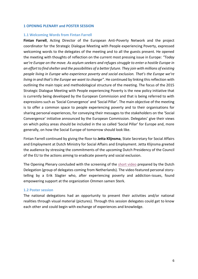#### <span id="page-5-0"></span>**1 OPENING PLENARY and POSTER SESSION**

#### <span id="page-5-1"></span>**1.1 Welcoming Words from Fintan Farrell**

**Fintan Farrell**, Acting Director of the European Anti-Poverty Network and the project coordinator for the Strategic Dialogue Meeting with People experiencing Poverty, expressed welcoming words to the delegates of the meeting and to all the guests present. He opened the meeting with thoughts of reflection on the current most pressing issue in Europe: *"Today we're Europe on the move. As asylum seekers and refuges struggle to enter a hostile Europe in an effort to find shelter and the possibilities of a better future. They join with millions of existing people living in Europe who experience poverty and social exclusion. That's the Europe we're living in and that's the Europe we want to change"*. He continued by linking this reflection with outlining the main topic and methodological structure of the meeting. The focus of the 2015 Strategic Dialogue Meeting with People experiencing Poverty is the new policy initiative that is currently being developed by the European Commission and that is being referred to with expressions such as 'Social Convergence' and 'Social Pillar'. The main objective of the meeting is to offer a common space to people experiencing poverty and to their organisations for sharing personal experiences, for conveying their messages to the stakeholders on the 'Social Convergence' initiative announced by the European Commission. Delegates' give their views on which policy areas should be included in the so called 'Social Pillar' for Europe and, more generally, on how the Social Europe of tomorrow should look like.

Fintan Farrell continued by giving the floor to **Jetta Klijnsma**, State Secretary for Social Affairs and Employment at Dutch Ministry for Social Affairs and Employment. Jetta Klijnsma greeted the audience by stressing the commitments of the upcoming Dutch Presidency of the Council of the EU to the actions aiming to eradicate poverty and social exclusion.

The Opening Plenary concluded with the screening of the [short video](https://www.youtube.com/watch?v=75QPnq-vL40) prepared by the Dutch Delegation (group of delegates coming from Netherlands). The video featured personal storytelling by a Erik Slagter who, after experiencing poverty and addiction-issues, found empowering support at the organization Ommen samen Sterk.

#### <span id="page-5-2"></span>**1.2 Poster session**

The national delegations had an opportunity to present their activities and/or national realities through visual material (pictures). Through this session delegates could get to know each other and could begin with exchange of experiences and knowledge.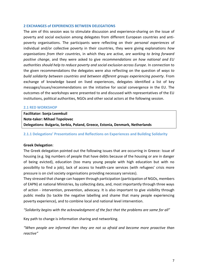#### <span id="page-6-0"></span>**2 EXCHANGES of EXPERIENCES BETWEEN DELEGATIONS**

The aim of this session was to stimulate discussion and experience-sharing on the issue of poverty and social exclusion among delegates from different European countries and antipoverty organisations. The participants were reflecting on their *personal experiences* of individual and/or collective poverty in their countries, they were giving explanations *how organisations from their countries*, in which they are active, *are working to bring forward positive change*, and they were asked to give *recommendations on how national and EU authorities should help to reduce poverty and social exclusion across Europe*. In connection to the given recommendations the delegates were also reflecting on the question of *ways to build solidarity between countries and between different groups experiencing poverty*. From exchange of knowledge based on lived experiences, delegates identified a list of key messages/issues/recommendations on the initiative for social convergence in the EU. The outcomes of the workshops were presented to and discussed with representatives of the EU institutions, political authorities, NGOs and other social actors at the following session.

#### <span id="page-6-1"></span>**2.1 RED WORKSHOP**

**Facilitator: Sonja Leemkuil Note-taker: Mihael Topolovec Delegations: Bulgaria, Serbia, Poland, Greece, Estonia, Denmark, Netherlands**

#### <span id="page-6-2"></span>**2.1.1 Delegations' Presentations and Reflections on Experiences and Building Solidarity**

#### **Greek Delegation**:

The Greek delegation pointed out the following issues that are occurring in Greece: Issue of housing (e.g. big numbers of people that have debts because of the housing or are in danger of being evicted), education (too many young people with high education but with no possibility to find a job), lack of access to health-care services (with refugees' crisis more pressure is on civil society organisations providing necessary services).

They stressed that change can happen through participation (participation of NGOs, members of EAPN) at national Ministries, by collecting data, and, most importantly through three ways of action - intervention, prevention, advocacy. It is also important to give visibility through public media (to tackle the negative labelling and shame that many people experiencing poverty experience), and to combine local and national level intervention.

*"Solidarity begins with the acknowledgment of the fact that the problems are same for all"*

Key path to change is information sharing and networking.

*"When people are informed then they are not so afraid and become more proactive than reactive"*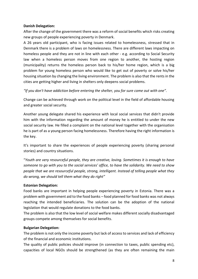# **Danish Delegation:**

After the change of the government there was a reform of social benefits which risks creating new groups of people experiencing poverty in Denmark.

A 26 years old participant, who is facing issues related to homelessness, stressed that in Denmark there is a problem of laws on homelessness. There are different laws impacting on homeless people and they are not in line with each other - e.g. according to Social Security law when a homeless person moves from one region to another, the hosting region (municipality) returns the homeless person back to his/her home region, which is a big problem for young homeless person who would like to get out of poverty or solve his/her housing situation by changing the living environment. The problem is also that the rents in the cities are getting higher and living in shelters only deepens social problems.

*"If you don't have addiction before entering the shelter, you for sure come out with one".*

Change can be achieved through work on the political level in the field of affordable housing and greater social security.

Another young delegate shared his experience with local social services that didn't provide him with the information regarding the amount of money he is entitled to under the new social security law. He filled a complaint on the national level together with the organisation he is part of as a young person facing homelessness. Therefore having the right information is the key.

It's important to share the experiences of people experiencing poverty (sharing personal stories) and country situations.

"*Youth are very resourceful people, they are creative, loving. Sometimes it is enough to have someone to go with you to the social services' office, to have the solidarity. We need to show people that we are resourceful people, strong, intelligent. Instead of telling people what they do wrong, we should tell them what they do right"*

# **Estonian Delegation:**

Food banks are important in helping people experiencing poverty in Estonia. There was a problem with government aid to the food banks – food planned for food banks was not always reaching the intended beneficiaries. The solution can be the adoption of the national legislation that would regulate donations to the food banks.

The problem is also that the low level of social welfare makes different socially disadvantaged groups compete among themselves for social benefits.

# **Bulgarian Delegation:**

The problem is not only the income poverty but lack of access to services and lack of efficiency of the financial and economic institutions.

The quality of public policies should improve (in connection to taxes, public spending etc), capacities of local NGOs should be strengthened (as they are often remaining the main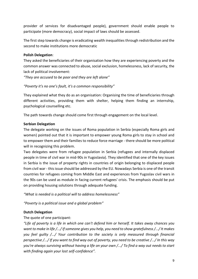provider of services for disadvantaged people), government should enable people to participate (more democracy), social impact of laws should be assessed.

The first step towards change is eradicating wealth inequalities through redistribution and the second to make institutions more democratic

# **Polish Delegation**:

They asked the beneficiaries of their organisation how they are experiencing poverty and the common answer was connected to abuse, social exclusion, homelessness, lack of security, the lack of political involvement:

*"They are accused to be poor and they are left alone"*

# *"Poverty it's no one's fault, it's a common responsibility"*

They explained what they do as an organisation: Organising the time of beneficiaries through different activities, providing them with shelter, helping them finding an internship, psychological counselling etc.

The path towards change should come first through engagement on the local level.

# **Serbian Delegation**

The delegate working on the issues of Roma population in Serbia (especially Roma girls and women) pointed out that it is important to empower young Roma girls to stay in school and to empower them and their families to reduce force marriage - there should be more political will in recognizing this problem.

Two delegates were from refugee population in Serbia (refugees and internally displaced people in time of civil war in mid-90s in Yugoslavia). They identified that one of the key issues in Serbia is the issue of property rights in countries of origin belonging to displaced people from civil war - this issue should be addressed by the EU. Nowadays Serbia is one of the transit countries for refugees coming from Middle East and experiences from Yugoslav civil wars in the 90s can be used as module in facing current refugees' crisis. The emphasis should be put on providing housing solutions through adequate funding.

*"What is needed is a political will to address homelessness"*

*"Poverty is a political issue and a global problem"*

# **Dutch Delegation**

# The quote of one participant:

*"Life of poverty is a life in which one can't defend him or herself. It takes away chances you want to make in life /.../If someone gives you help, you need to show gratefulness /.../It makes you feel guilty /.../ Your contribution to the society is only measured through financial perspective /.../ If you want to find way out of poverty, you need to be creative /.../ In this way you're always surviving without having a life on your own /.../ To find a way out needs to start with finding again your lost self-confidence".*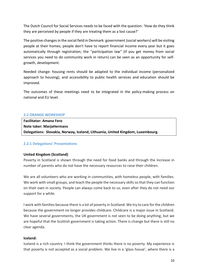The Dutch Council for Social Services needs to be faced with the question: 'How do they think they are perceived by people if they are treating them as a lost cause?'

The positive changesin the social field in Denmark: government (social workers) will be visiting people at their homes; people don't have to report financial income every year but it goes automatically through registration; the ''participation law'' (if you get money from social services you need to do community work in return) can be seen as an opportunity for selfgrowth, development.

Needed change: housing rents should be adapted to the individual income (personalized approach to housing), and accessibility to public health services and education should be improved.

The outcomes of these meetings need to be integrated in the policy-making process on national and EU level.

#### <span id="page-9-0"></span>**2.2 ORANGE WORKSHOP**

**Facilitator: Amana Fero Note taker: MarjaHermans Delegations: Slovakia, Norway, Iceland, Lithuania, United Kingdom, Luxembourg.**

# <span id="page-9-1"></span>**2.2.1 Delegations' Presentations**

# **United Kingdom (Scotland)**

Poverty in Scotland is shown through the need for food banks and through the increase in number of parents who do not have the necessary resources to raise their children.

We are all volunteers who are working in communities, with homeless people, with families. We work with small groups, and teach the people the necessary skills so that they can function on their own in society. People can always come back to us, even after they do not need our support for a while.

I work with families because there is a lot of poverty in Scotland. We try to care for the children because the government no longer provides childcare. Childcare is a major issue in Scotland. We have several governments, the UK government is not seen to be doing anything, but we are hopeful that the Scottish government is taking action. There is change but there is still no clear agenda.

#### **Iceland:**

Iceland is a rich country. I think the government thinks there is no poverty. My experience is that poverty is not accepted as a social problem. We live in a 'glass house', where there is a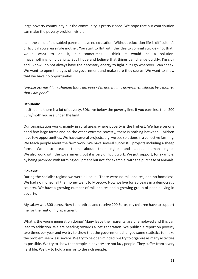large poverty community but the community is pretty closed. We hope that our contribution can make the poverty problem visible.

I am the child of a disabled parent. I have no education. Without education life is difficult. It's difficult if you area single mother. You start to flirt with the idea to commit suicide - not that I would want to do it, but sometimes I think it would be a solution. I have nothing, only deficits. But I hope and believe that things can change quickly. I'm sick and I know I do not always have the necessary energy to fight but I go wherever I can speak. We want to open the eyes of the government and make sure they see us. We want to show that we have no opportunities.

*"People ask me if I'm ashamed that I am poor - I'm not. But my government should be ashamed that I am poor"*

# **Lithuania:**

In Lithuania there is a lot of poverty. 30% live below the poverty line. If you earn less than 200 Euro/moth you are under the limit.

Our organization works mainly in rural areas where poverty is the highest. We have on one hand few large farms and on the other extreme poverty, there is nothing between. Children have few opportunities. We have several projects, e.g. we see solutions in a collective farming. We teach people about the farm work. We have several successful projects including a sheep farm. We also teach them about their rights and about human rights. We also work with the government, but it is very difficult work. We got support, for example, by being provided with farming equipment but not, for example, with the purchase of animals.

# **Slovakia:**

During the socialist regime we were all equal. There were no millionaires, and no homeless. We had no money, all the money went to Moscow. Now we live for 26 years in a democratic country. We have a growing number of millionaires and a growing group of people living in poverty.

My salary was 300 euros. Now I am retired and receive 200 Euros, my children have to support me for the rent of my apartment.

What is the young generation doing? Many leave their parents, are unemployed and this can lead to addiction. We are heading towards a lost generation. We publish a report on poverty two times per year and we try to show that the government changed some statistics to make the problem seem less severe. We try to be open minded, we try to organize as many activities as possible. We try to show that people in poverty are not lazy people. They suffer from a very hard life. We try to hold a mirror to the rich people.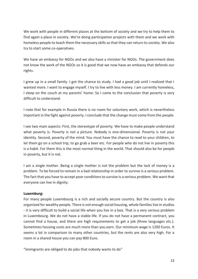We work with people in different places at the bottom of society and we try to help them to find again a place in society. We're doing participation projects with them and we work with homeless people to teach them the necessary skills so that they can return to society. We also try to start some co-operatives.

We have an embassy for NGOs and we also have a minister for NGOs. The government does not know the work of the NGOs so it is good that we now have an embassy that defends our rights.

I grew up in a small family. I got the chance to study. I had a good job until I realized that I wanted more. I want to engage myself. I try to live with less money. I am currently homeless, I sleep on the couch at my parents' home. So I came to the conclusion that poverty is very difficult to understand.

I note that for example in Russia there is no room for voluntary work, which is nevertheless important in the fight against poverty. I conclude that the change must come from the people.

I see two main aspects: First, the stereotype of poverty. We have to make people understand what poverty is. Poverty is not a picture. Nobody is one-dimensional. Poverty is not your identity. Second, poverty of the mind. You must have the chance to read to your children, to let them go on a school trip, to go grab a beer etc. For people who do not live in poverty this is a habit. For them this is the most normal thing in the world. That should also be for people in poverty, but it is not.

I am a single mother. Being a single mother is not the problem but the lack of money is a problem. To be forced to remain in a bad relationship in order to survive is a serious problem. The fact that you have to accept poor conditions to survive is a serious problem. We want that everyone can live in dignity.

# **Luxemburg:**

For many people Luxembourg is a rich and socially secure country. But the country is also organized for wealthy people. There is not enough social housing, whole families live in studios - it is very difficult to build a social life when you live in a box. That is a very serious problem in Luxembourg. We do not have a stable life. If you do not have a permanent contract, you cannot find a house, and there are high requirements to get a job (three languages etc.). Sometimes housing costs are much more than you earn. Our minimum wage is 1200 Euros. It seems a lot in comparison to many other countries, but the rents are also very high. For a room in a shared house you can pay 800 Euro.

"Immigrants are obliged to do jobs that nobody wants to do"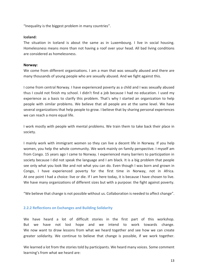"Inequality is the biggest problem in many countries".

#### **Iceland:**

The situation in Iceland is about the same as in Luxembourg. I live in social housing. Homelessness means more than not having a roof over your head. All bad living conditions are considered as homelessness.

#### **Norway:**

We come from different organisations. I am a man that was sexually abused and there are many thousands of young people who are sexually abused. And we fight against this.

I come from central Norway. I have experienced poverty as a child and I was sexually abused thus I could not finish my school. I didn't find a job because I had no education. I used my experience as a basis to clarify this problem. That's why I started an organization to help people with similar problems. We believe that all people are at the same level. We have several organizations that help people to grow. I believe that by sharing personal experiences we can reach a more equal life.

I work mostly with people with mental problems. We train them to take back their place in society.

I mainly work with immigrant women so they can live a decent life in Norway. If you help women, you help the whole community. We work mainly on family perspective. I myself am from Congo. 15 years ago I came to Norway. I experienced many barriers to participation in society because I did not speak the language and I am black. It is a big problem that people see only what you look like and not what you can do. Even though I was born and grown in Congo, I have experienced poverty for the first time in Norway, not in Africa. At one point I had a choice: live or die. If I am here today, it is because I have chosen to live. We have many organizations of different sizes but with a purpose: the fight against poverty.

"We believe that change is not possible without us. Collaboration is needed to affect change".

# <span id="page-12-0"></span>**2.2.2 Reflections on Exchanges and Building Solidarity**

We have heard a lot of difficult stories in the first part of this workshop. But we have not lost hope and we intend to work towards change. We now want to draw lessons from what we heard together and see how we can create greater solidarity. We continue to believe that change is possible, if we work together.

We learned a lot from the stories told by participants. We heard many voices. Some comment learning's from what we heard are: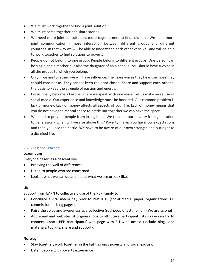- We must work together to find a joint solution.
- We must come together and share stories.
- We need more joint consultation, more togetherness to find solutions. We need more joint communication - more interaction between different groups and different countries. In that way we will be able to understand each other very well and will be able to work together to find solutions to poverty.
- People do not belong to one group. People belong to different groups. One person can be single and a mother but also the daughter of an alcoholic. You should have a voice in all the groups to which you belong.
- Only if we are together, we will have influence. The more voices they hear the more they should consider us. They cannot keep the door closed. Share and support each other is the basis to keep the struggle of passion and energy.
- Let us finally become a Europe where we speak with one voice. Let us make more use of social media. Our experience and knowledge must be honored. Our common problem is lack of money. Lack of money affects all aspects of your life. Lack of money means that you do not have the mental space to battle But together we can have the space.
- We need to prevent people from losing hope. We transmit our poverty from generation to generation - when will we rise above this? Poverty makes you have low expectations and then you lose the battle. We have to be aware of our own strength and our right to a dignified life.

# <span id="page-13-0"></span>**2.2.3 Lessons Learned**

# **Luxemburg**

Everyone deserves a descent live.

- Breaking the wall of differences
- Listen to people who are concerned
- Look at what we can do and not at what we are or look like.

# **UK**:

Support from EAPN to collectively use of the PEP Family to

- Conciliate a viral media day prior to PeP 2016 (social media, paper, organisations, EU commissioners blog pages).
- Raise the voice and awareness as a collective (real people testimonial) We are as one!
- Add email and websites of organizations to all future participant lists so we can try to connect. Create PEP participants' web page with EU wide access (include blog, load materials, toolkits, share and support).

# **Norway**

- Stay together, work together in the fight against poverty and social exclusion
- Listen people with poverty experience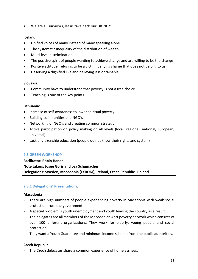We are all survivors, let us take back our DIGNITY

# **Iceland:**

- Unified voices of many instead of many speaking alone
- The systematic inequality of the distribution of wealth
- Multi-level discrimination
- The positive spirit of people wanting to achieve change and are willing to be the change
- Positive attitude, refusing to be a victim, denying shame that does not belong to us
- Deserving a dignified live and believing it is obtainable.

# **Slovakia:**

- Community have to understand that poverty is not a free choice
- Teaching is one of the key points.

#### **Lithuania:**

- Increase of self-awareness to lower spiritual poverty
- Building communities and NGO's
- Networking of NGO's and creating common strategy
- Active participation on policy making on all levels (local, regional, national, European, universal)
- Lack of citizenship education (people do not know their rights and system)

# <span id="page-14-0"></span>**2.3 GREEN WORKSHOP**

**Facilitator: Robin Hanan Note takers: Josee Goris and Lea Schumacher Delegations: Sweden, Macedonia (FYROM), Ireland, Czech Republic, Finland**

# <span id="page-14-1"></span>**2.3.1 Delegations' Presentations:**

#### **Macedonia**

- There are high numbers of people experiencing poverty in Macedonia with weak social protection from the government.
- A special problem is youth unemployment and youth leaving the country as a result.
- The delegates are all members of the Macedonian Anti-poverty network which consists of over 100 different organizations. They work for elderly, young people and social protection.
- They want a Youth Guarantee and minimum income scheme from the public authorities.

# **Czech Republic**

The Czech delegates share a common experience of homelessness.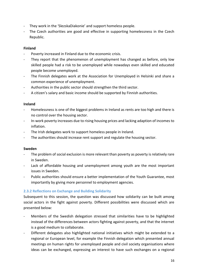- They work in the 'SlezskaDiakonie' and support homeless people.
- The Czech authorities are good and effective in supporting homelessness in the Czech Republic.

# **Finland**

- Poverty increased in Finland due to the economic crisis.
- They report that the phenomenon of unemployment has changed as before, only low skilled people had a risk to be unemployed while nowadays even skilled and educated people become unemployed.
- The Finnish delegates work at the Association for Unemployed in Helsinki and share a common experience of unemployment.
- Authorities in the public sector should strengthen the third sector.
- A citizen's salary and basic income should be supported by Finnish authorities.

#### **Ireland**

- Homelessness is one of the biggest problems in Ireland as rents are too high and there is no control over the housing sector.
- In-work poverty increases due to rising housing prices and lacking adaption of incomes to inflation.
- The Irish delegates work to support homeless people in Ireland.
- The authorities should increase rent support and regulate the housing sector.

#### **Sweden**

- The problem of social exclusion is more relevant than poverty as poverty is relatively rare in Sweden.
- Lack of affordable housing and unemployment among youth are the most important issues in Sweden.
- Public authorities should ensure a better implementation of the Youth Guarantee, most importantly by giving more personnel to employment agencies.

# <span id="page-15-0"></span>**2.3.2 Reflections on Exchange and Building Solidarity**

Subsequent to this session, the question was discussed how solidarity can be built among social actors in the fight against poverty. Different possibilities were discussed which are presented below:

- Members of the Swedish delegation stressed that similarities have to be highlighted instead of the differences between actors fighting against poverty, and that the internet is a good medium to collaborate.
- Different delegates also highlighted national initiatives which might be extended to a regional or European level, for example the Finnish delegation which presented annual meetings on human rights for unemployed people and civil society organisations where ideas can be exchanged, expressing an interest to have such exchanges on a regional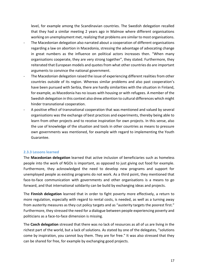level, for example among the Scandinavian countries. The Swedish delegation recalled that they had a similar meeting 2 years ago in Malmoe where different organisations working on unemployment met, realizing that problems are similar to most organisations.

- The Macedonian delegation also narrated about a cooperation of different organisations regarding a law on abortion in Macedonia, stressing the advantage of advocating change in great numbers as the influence on political actors increases then. "When many organisations cooperate, they are very strong together", they stated. Furthermore, they reiterated that European models and quotes from what other countries do are important arguments to convince the national government.
- The Macedonian delegation raised the issue of experiencing different realities from other countries outside of its region. Whereas similar problems and also past cooperation's have been pursued with Serbia, there are hardly similarities with the situation in Finland, for example, as Macedonia has no issues with housing or with refugees. A member of the Swedish delegation in this context also drew attention to cultural differences which might hinder transnational cooperation.
- A positive effect of transnational cooperation that was mentioned and valued by several organisations was the exchange of best practices and experiments, thereby being able to learn from other projects and to receive inspiration for own projects. In this sense, also the use of knowledge of the situation and tools in other countries as means to pressure own governments was mentioned, for example with regard to implementing the Youth Guarantee.

# <span id="page-16-0"></span>**2.3.3 Lessons learned**

The **Macedonian delegation** learned that active inclusion of beneficiaries such as homeless people into the work of NGOs is important, as opposed to just giving out food for example. Furthermore, they acknowledged the need to develop new programs and support for unemployed people as existing programs do not work. As a third point, they mentioned that face-to-face communication with governments and other organisations is a means to go forward, and that international solidarity can be build by exchanging ideas and projects.

The **Finnish delegation** learned that in order to fight poverty more effectively, a return to more regulation, especially with regard to rental costs, is needed, as well as a turning away from austerity measures as they cut policy targets and as "austerity targets the poorest first." Furthermore, they stressed the need for a dialogue between people experiencing poverty and politicians as a face-to-face dimension is missing.

The **Czech delegation** stressed that there was no lack of resources as all of us are living in the richest part of the world, but a lack of solutions. As stated by one of the delegates, "solutions come by inspiration, you cannot buy them. They are for free." It was also stressed that they can be shared for free, for example by exchanging good projects.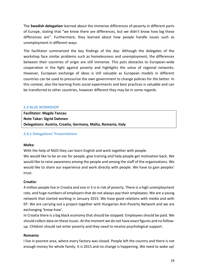The **Swedish delegation** learned about the immense differences of poverty in different parts of Europe, stating that "we knew there are differences, but we didn't know how big these differences are". Furthermore, they learned about how people handle issues such as unemployment in different ways.

The facilitator summarized the key findings of the day: Although the delegates of the workshop face similar problems such as homelessness and unemployment, the differences between their countries of origin are still immense. This puts obstacles to European-wide cooperation in the fight against poverty and highlights the value of regional networks. However, European exchange of ideas is still valuable as European models in different countries can be used to pressurize the own government to change policies for the better. In this context, also the learning from social experiments and best practices is valuable and can be transferred to other countries, however different they may be in some regards.

#### <span id="page-17-0"></span>**2.4 BLUE WORKSHOP**

| <b>Facilitator: Magda Tancau</b>                              |
|---------------------------------------------------------------|
| <b>Note Taker: Sigrid Dahmen</b>                              |
| Delegations: Austria, Croatia, Germany, Malta, Romania, Italy |

#### <span id="page-17-1"></span>**2.4.1 Delegations' Presentations**

#### **Malta:**

With the help of NGO they can learn English and work together with people.

We would like to be an ear for people, give training and help people get motivation back. We would like to raise awareness among the people and among the staff of the organisations. We would like to share our experience and work directly with people. We have to gain peoples' trust.

# **Croatia:**

4 million people live in Croatia and one in 5 is in risk of poverty. There is a high unemployment rate, and huge numbers of employers that do not always pay their employees. We are a young network that started working in January 2015. We have good relations with media and with EP. We are carrying out a project together with Hungarian Anti-Poverty Network and we are exchanging 'know-how'.

In Croatia there is a big black economy that should be stopped. Employees should be paid. We should collect data on these issues. At the moment we do not have exact figures and no followup. Children should not enter poverty and they need to receive psychological support.

#### **Romania:**

I live in poorest area, where every factory was closed. People left the country and there is not enough money for whole family. It is 2015 and no change is happening. We need to wake up!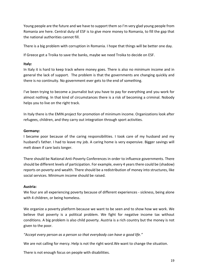Young people are the future and we have to support them so I'm very glad young people from Romania are here. Central duty of ESF is to give more money to Romania, to fill the gap that the national authorities cannot fill.

There is a big problem with corruption in Romania. I hope that things will be better one day.

If Greece got a Troika to save the banks, maybe we need Troika to decide on ESF.

# **Italy:**

In Italy it is hard to keep track where money goes. There is also no minimum income and in general the lack of support. The problem is that the governments are changing quickly and there is no continuity. No government ever gets to the end of something.

I've been trying to become a journalist but you have to pay for everything and you work for almost nothing. In that kind of circumstances there is a risk of becoming a criminal. Nobody helps you to live on the right track.

In Italy there is the EMIN project for promotion of minimum income. Organizations look after refugees, children, and they carry out integration through sport activities.

# **Germany:**

I became poor because of the caring responsibilities. I took care of my husband and my husband's father. I had to leave my job. A caring home is very expensive. Bigger savings will melt down if care lasts longer.

There should be National Anti-Poverty Conferences in order to influence governments. There should be different levels of participation. For example, every 4 years there could be (shadow) reports on poverty and wealth. There should be a redistribution of money into structures, like social services. Minimum income should be raised.

# **Austria:**

We four are all experiencing poverty because of different experiences - sickness, being alone with 4 children, or being homeless.

We organize a poverty platform because we want to be seen and to show how we work. We believe that poverty is a political problem. We fight for negative income tax without conditions. A big problem is also child poverty. Austria is a rich country but the money is not given to the poor.

*"Accept every person as a person so that everybody can have a good life."*

We are not calling for mercy. Help is not the right word.We want to change the situation.

There is not enough focus on people with disabilities.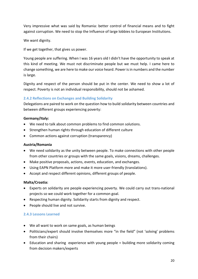Very impressive what was said by Romania: better control of financial means and to fight against corruption. We need to stop the Influence of large lobbies to European Institutions.

We want dignity.

If we get together, that gives us power.

Young people are suffering. When I was 16 years old I didn't have the opportunity to speak at this kind of meeting. We must not discriminate people but we must help. I came here to change something, we are here to make our voice heard. Power is in numbers and the number is large.

Dignity and respect of the person should be put in the center. We need to show a lot of respect. Poverty is not an individual responsibility, should not be ashamed.

# <span id="page-19-0"></span>**2.4.2 Reflections on Exchanges and Building Solidarity**

Delegations are paired to work on the question how to build solidarity between countries and between different groups experiencing poverty:

# **Germany/Italy:**

- We need to talk about common problems to find common solutions.
- Strengthen human rights through education of different culture
- Common actions against corruption (transparency)

# **Austria/Romania**

- We need solidarity as the unity between people. To make connections with other people from other countries or groups with the same goals, visions, dreams, challenges.
- Make positive proposals, actions, events, education, and exchanges.
- Using EAPN Platform more and make it more user-friendly (translations).
- Accept and respect different opinions, different groups of people.

# **Malta/Croatia:**

- Experts on solidarity are people experiencing poverty. We could carry out trans-national projects so we could work together for a common goal.
- Respecting human dignity. Solidarity starts from dignity and respect.
- People should live and not survive.

# <span id="page-19-1"></span>**2.4.3 Lessons Learned**

- We all want to work on same goals, as human beings
- Politicians/expert should involve themselves more "in the field" (not 'solving' problems from their chairs)
- Education and sharing experience with young people = building more solidarity coming from decision makers/experts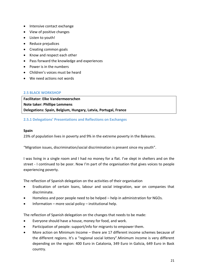- Intensive contact exchange
- View of positive changes
- Listen to youth!
- Reduce prejudices
- Creating common goals
- Know and respect each other
- Pass forward the knowledge and experiences
- Power is in the numbers
- Children's voices must be heard
- We need actions not words

#### <span id="page-20-0"></span>**2.5 BLACK WORKSHOP**

**Facilitator: Elke Vandermeerschen Note taker: Phillipe Lemmens Delegations: Spain, Belgium, Hungary, Latvia, Portugal, France**

# <span id="page-20-1"></span>**2.5.1 Delegations' Presentations and Reflections on Exchanges**

#### **Spain**

23% of population lives in poverty and 9% in the extreme poverty in the Baleares.

"Migration issues, discrimination/social discrimination is present since my youth".

I was living in a single room and I had no money for a flat. I've slept in shelters and on the street - I continued to be poor. Now I'm part of the organisation that gives voices to people experiencing poverty.

The reflection of Spanish delegation on the activities of their organisation

- Eradication of certain loans, labour and social integration, war on companies that discriminate.
- Homeless and poor people need to be helped help in administration for NGOs.
- $\bullet$  Information more social policy institutional help.

The reflection of Spanish delegation on the changes that needs to be made:

- Everyone should have a house, money for food, and work.
- Participation of people: support/info for migrants to empower them.
- More action on Minimum Income there are 17 different income schemes because of the different regions. It's a "regional social lottery".Minimum income is very different depending on the region: 400 Euro in Catalonia, 349 Euro in Galicia, 649 Euro in Bask country.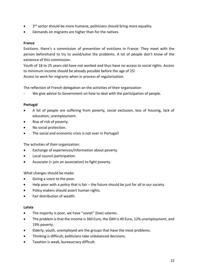- 3<sup>rd</sup> sector should be more humane, politicians should bring more equality.
- Demands on migrants are higher than for the natives.

#### **France**

Evictions: there's a commission of prevention of evictions in France. They meet with the person beforehand to try to avoid/solve the problems. A lot of people don't know of the existence of this commission.

Youth of 18 to 25 years old have not worked and thus have no access to social rights. Access to minimum income should be already possible before the age of 25! Access to work for migrants when in process of regularisation.

The reflection of French delegation on the activities of their organization

We give advice to Government on how to deal with the participation of people.

# **Portugal**

- A lot of people are suffering from poverty, social exclusion, loss of housing, lack of education, unemployment.
- Rise of risk of poverty.
- No social protection.
- The social and economic crisis is not over in Portugal!

The activities of their organization:

- Exchange of experiences/information about poverty.
- Local council participation.
- Associate (= join an association) to fight poverty.

What changes should be made:

- Giving a voice to the poor.
- Help poor with a policy that is fair the future should be just for all in our society.
- Policy makers should assert human rights.
- Fair distribution of wealth.

#### **Latvia**

- The majority is poor, we have "soviet" (low) salaries.
- The problem is that the income is 360 Euro, the GMI is 49 Euro, 12% unemployment, and 19% poverty.
- Elderly, youth, unemployed are the groups that have the most problems.
- Thinking is difficult, politicians take unbalanced decisions.
- **•** Taxation is weak, bureaucracy difficult.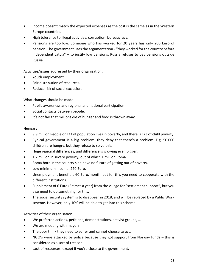- Income doesn't match the expected expenses as the cost is the same as in the Western Europe countries.
- High tolerance to illegal activities: corruption, bureaucracy.
- Pensions are too low: Someone who has worked for 20 years has only 200 Euro of pension. The government uses the argumentation - "they worked for the country before independent Latvia" – to justify low pensions. Russia refuses to pay pensions outside Russia.

Activities/issues addressed by their organisation:

- Youth employment.
- Fair distribution of resources.
- Reduce risk of social exclusion.

What changes should be made:

- Public awareness and regional and national participation.
- Social contacts between people.
- It's not fair that millions die of hunger and food is thrown away.

#### **Hungary**

- 9.9 million People or 1/3 of population lives in poverty, and there is 1/3 of child poverty.
- Cynical government is a big problem: they deny that there's a problem. E.g. 50.000 children are hungry, but they refuse to solve this.
- Huge regional differences, and difference is growing even bigger.
- 1.2 million in severe poverty, out of which 1 million Roma.
- Roma born in the country side have no future of getting out of poverty.
- Low minimum income: 270 Euro.
- Unemployment benefit is 60 Euro/month, but for this you need to cooperate with the different institutions.
- Supplement of 6 Euro (3 times a year) from the village for "settlement support", but you also need to do something for this.
- The social security system is to disappear in 2018, and will be replaced by a Public Work scheme. However, only 10% will be able to get into this scheme.

Activities of their organisation:

- We preferred actions, petitions, demonstrations, activist groups, …
- We are meeting with mayors.
- The poor think they need to suffer and cannot choose to act.
- NGO's were attacked by police because they got support from Norway funds this is considered as a sort of treason.
- Lack of resources, except if you're close to the government.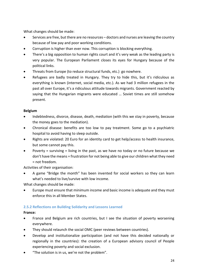What changes should be made:

- Services are free, but there are no resources doctors and nurses are leaving the country because of low pay and poor working conditions.
- Corruption is higher than ever now. This corruption is blocking everything.
- There's a big opposition to human rights court and it's very weak as the leading party is very popular. The European Parliament closes its eyes for Hungary because of the political links.
- Threats from Europe (to reduce structural funds, etc.) go nowhere.
- Refugees are badly treated in Hungary. They try to hide this, but it's ridiculous as everything is known (internet, social media, etc.). As we had 3 million refugees in the past all over Europe, it's a ridiculous attitude towards migrants. Government reacted by saying that the Hungarian migrants were educated … Soviet times are still somehow present.

# **Belgium**

- Indebtedness, divorce, disease, death, mediation (with this we stay in poverty, because the money goes to the mediation).
- Chronical disease: benefits are too low to pay treatment. Some go to a psychiatric hospital to avoid having to sleep outside.
- Rights are violated: 20 Euro for an identity card to get help/access to health insurance, but some cannot pay this.
- Poverty = surviving = living in the past, as we have no today or no future because we don't have the means = frustration for not being able to give our children what they need = not freedom.

Activities of their organisation:

 A game "Bridge the month" has been invented for social workers so they can learn what's needed to live/survive with low income.

What changes should be made:

 Europe must ensure that minimum income and basic income is adequate and they must enforce this in all Member States.

# <span id="page-23-0"></span>**2.5.2 Reflections on Building Solidarity and Lessons Learned**

# **France:**

- France and Belgium are rich countries, but I see the situation of poverty worsening everywhere.
- They should relaunch the social OMC (peer reviews between countries).
- Develop and institutionalize participation (and not have this decided nationally or regionally in the countries): the creation of a European advisory council of People experiencing poverty and social exclusion.
- "The solution is in us, we're not the problem".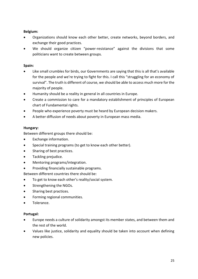# **Belgium:**

- Organizations should know each other better, create networks, beyond borders, and exchange their good practices.
- We should organize citizen "power-resistance" against the divisions that some politicians want to create between groups.

# **Spain:**

- Like small crumbles for birds, our Governments are saying that this is all that's available for the people and we're trying to fight for this. I call this "struggling for an economy of survival". The truth is different of course, we should be able to access much more for the majority of people.
- Humanity should be a reality in general in all countries in Europe.
- Create a commission to care for a mandatory establishment of principles of European chart of Fundamental rights.
- People who experience poverty must be heard by European decision makers.
- A better diffusion of needs about poverty in European mass media.

# **Hungary:**

Between different groups there should be:

- Exchange information.
- Special training programs (to get to know each other better).
- Sharing of best practices.
- Tackling prejudice.
- Mentoring programs/integration.
- Providing financially sustainable programs.

Between different countries there should be:

- To get to know each other's reality/social system.
- Strengthening the NGOs.
- Sharing best practices.
- Forming regional communities.
- Tolerance.

# **Portugal:**

- Europe needs a culture of solidarity amongst its member states, and between them and the rest of the world.
- Values like justice, solidarity and equality should be taken into account when defining new policies.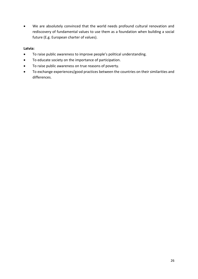We are absolutely convinced that the world needs profound cultural renovation and rediscovery of fundamental values to use them as a foundation when building a social future (E.g. European charter of values).

# **Latvia:**

- To raise public awareness to improve people's political understanding.
- To educate society on the importance of participation.
- To raise public awareness on true reasons of poverty.
- To exchange experiences/good practices between the countries on their similarities and differences.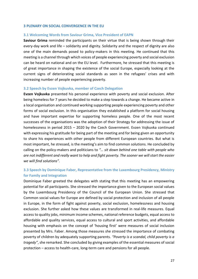#### <span id="page-26-0"></span>**3 PLENARY ON SOCIAL CONVERGENCE IN THE EU**

#### <span id="page-26-1"></span>**3.1 Welcoming Words from Saviour Grima, Vice President of EAPN**

**Saviour Grima** reminded the participants on their virtue that is being shown through their every-day work and life – solidarity and dignity. Solidarity and the respect of dignity are also one of the main demands posed to policy-makers in this meeting. He continued that this meeting is a channel through which voices of people experiencing poverty and social exclusion can be heard on national and on the EU level. Furthermore, he stressed that this meeting is of great importance in shaping the existence of the social Europe, especially looking at the current signs of deteriorating social standards as seen in the refugees' crises and with increasing number of people experiencing poverty.

#### <span id="page-26-2"></span>**3.2 Speech by Evzen Vojkuvka, member of Czech Delegation**

**Evzen Vojkuvka** presented his personal experience with poverty and social exclusion. After being homeless for 7 years he decided to make a step towards a change. He became active in a local organisation and continued working supporting people experiencing poverty and other forms of social exclusion. In this organisation they established a platform for social housing and have important expertise for supporting homeless people. One of the most recent successes of the organisations was the adoption of their Strategy for addressing the issue of homelessness in period 2015 – 2020 by the Czech Government. Evzen Vojkuvka continued with expressing his gratitude for being part of the meeting and for being given an opportunity to share his experiences with other people from different European countries. But what is most important, he stressed, is the meeting's aim to find common solutions. He concluded by calling on the policy-makers and politicians to *"… sit down behind one table with people who are not indifferent and really want to help and fight poverty. The sooner we will start the easier we will find solutions".* 

# <span id="page-26-3"></span>**3.3 Speech by Dominique Faber, Representative from the Luxembourg Presidency, Ministry for Family and Integration**

Dominique Faber greeted the delegates with stating that this meeting has an empowering potential for all participants. She stressed the importance given to the European social values by the Luxembourg Presidency of the Council of the European Union. She stressed that Common social values for Europe are defined by social protection and inclusion of all people in Europe, in the form of fight against poverty, social exclusion, homelessness and housing exclusion. She further asked how these values are transformed in real-life measures. Equal access to quality jobs, minimum income schemes, national reference budgets, equal access to affordable and quality services, equal access to cultural and sport activities, and affordable housing with emphasis on the concept of 'housing first' were measures of social inclusion presented by Mrs. Faber. Among those measures she stressed the importance of combating poverty of children by adequately supporting parents. *"Poverty is a scandal, child poverty is a tragedy"*, she remarked. She concluded by giving examples of the essential measures of social protection – access to health-care, long-term care and pensions for all people.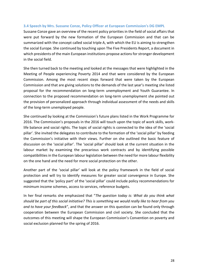#### <span id="page-27-0"></span>**3.4 Speech by Mrs. Sussane Conze, Policy Officer at European Commission's DG EMPL**

Sussane Conze gave an overview of the recent policy priorities in the field of social affairs that were put forward by the new formation of the European Commission and that can be summarized with the concept called social triple A, with which the EU is aiming to strengthen the social Europe. She continued by touching upon The Five Presidents Report, a document in which presidents of the main European institutions propose actions for stronger development in the social field.

She then turned back to the meeting and looked at the messages that were highlighted in the Meeting of People experiencing Poverty 2014 and that were considered by the European Commission. Among the most recent steps forward that were taken by the European Commission and that are giving solutions to the demands of the last year's meeting she listed proposal for the recommendation on long-term unemployment and Youth Guarantee. In connection to the proposed recommendation on long-term unemployment she pointed out the provision of personalized approach through individual assessment of the needs and skills of the long-term unemployed people.

She continued by looking at the Commission's future plans listed in the Work Programme for 2016. The Commission's proposals in the 2016 will touch upon the topic of work skills, worklife balance and social rights. The topic of social rights is connected to the idea of the 'social pillar'. She invited the delegates to contribute to the formation of the 'social pillar' by feeding the Commission's initiative with their views. Further on she outlined the basic feature of discussion on the 'social pillar'. The 'social pillar' should look at the current situation in the labour market by examining the precarious work contracts and by identifying possible compatibilities in the European labour legislation between the need for more labour flexibility on the one hand and the need for more social protection on the other.

Another part of the 'social pillar' will look at the policy framework in the field of social protection and will try to identify measures for greater social convergence in Europe. She suggested that the 'policy part' of the 'social pillar' could include policy recommendations for minimum income schemes, access to services, reference budgets.

In her final remarks she emphasized that "*The question today is: What do you think what should be part of this social initiative? This is something we would really like to hear from you and to have your feedback*", and that the answer on this question can be found only through cooperation between the European Commission and civil society. She concluded that the outcomes of this meeting will shape the European Commission's Convention on poverty and social exclusion planned for the spring of 2016.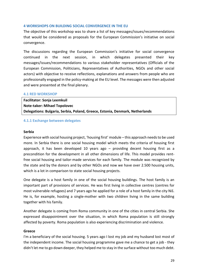#### <span id="page-28-0"></span>**4 WORKSHOPS ON BUILDING SOCIAL CONVERGENCE IN THE EU**

The objective of this workshop was to share a list of key messages/issues/recommendations that would be considered as proposals for the European Commission's initiative on social convergence.

The discussions regarding the European Commission's initiative for social convergence continued in the next session, in which delegates presented their key messages/issues/recommendations to various stakeholder representatives (Officials of the European Commission, Politicians, Representatives of Authorities, NGOs and other social actors) with objective to receive reflections, explanations and answers from people who are professionally engaged in the policy-making at the EU level. The messages were then adjusted and were presented at the final plenary.

#### <span id="page-28-1"></span>**4.1 RED WORKSHOP**

**Facilitator: Sonja Leemkuil Note-taker: Mihael Topolovec Delegations: Bulgaria, Serbia, Poland, Greece, Estonia, Denmark, Netherlands**

#### <span id="page-28-2"></span>**4.1.1 Exchange between delegates**

#### **Serbia**

Experience with social housing project, 'housing first' module – this approach needs to be used more. In Serbia there is one social housing model which meets the criteria of housing first approach, it has been developed 10 years ago – providing decent housing first as a precondition for the development in all other dimensions of life. This model provides rentfree social housing and tailor-made services for each family. The module was recognized by the state and by the donors and by other NGOs and now we have over 2.500 housing units, which is a lot in comparison to state social housing projects.

One delegate is a host family in one of the social housing buildings. The host family is an important part of provisions of services. He was first living in collective centres (centres for most vulnerable refugees) and 7 years ago he applied for a role of a host family in the city Niš. He is, for example, hosting a single-mother with two children living in the same building together with his family.

Another delegate is coming from Roma community in one of the cities in central Serbia. She expressed disappointment over the situation, in which Roma population is still strongly affected by poverty. Roma population is also experiencing discrimination and violence.

#### **Greece**

I'm a beneficiary of the social housing. 5 years ago I lost my job and my husband lost most of the independent income. The social housing programme gave me a chance to get a job - they didn't let me to go down deeper, they helped me to stay in the surface without too much debt.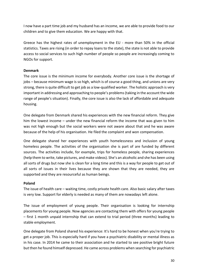I now have a part time job and my husband has an income, we are able to provide food to our children and to give them education. We are happy with that.

Greece has the highest rates of unemployment in the EU - more than 50% in the official statistics. Taxes are rising (in order to repay loans to the state), the state is not able to provide access to social services to such high number of people so people are increasingly coming to NGOs for support.

# **Denmark**

The core issue is the minimum income for everybody. Another core issue is the shortage of jobs – because minimum wage is so high, which is of course a good thing, and unions are very strong, there is quite difficult to get job as a low-qualified worker. The holistic approach is very important in addressing and approaching to people's problems (taking in the account the wide range of people's situation). Finally, the core issue is also the lack of affordable and adequate housing.

One delegate from Denmark shared his experiences with the new financial reform. They give him the lowest income – under the new financial reform the income that was given to him was not high enough but the social workers were not aware about that and he was aware because of the help of his organisation. He filed the complaint and won compensation.

One delegate shared her experiences with youth homelessness and inclusion of young homeless people. The activities of the organisation she is part of are funded by different sources. The activities include, for example, trips for homeless people, sharing experiences (help them to write, take pictures, and make videos). She's an alcoholic and she has been using all sorts of drugs but now she is clean for a long time and this is a way for people to get out of all sorts of issues in their lives because they are shown that they are needed, they are supported and they are resourceful as human beings.

# **Poland**

The issue of health care – waiting time, costly private health care. Also basic salary after taxes is very low. Support for elderly is needed as many of them are nowadays left alone.

The issue of employment of young people. Their organisation is looking for internship placements for young people. Now agencies are contacting them with offers for young people – first 1 month unpaid internship that can extend to trial period (three months) leading to stable employment.

One delegate from Poland shared his experience: It's hard to be honest when you're trying to get a proper job. This is especially hard if you have a psychiatric disability or mental illness as in his case. In 2014 he came to their association and he started to see positive bright future but then he found himself depressed. He came across problems when searching for psychiatric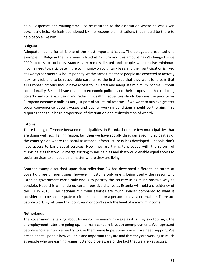help – expenses and waiting time - so he returned to the association where he was given psychiatric help. He feels abandoned by the responsible institutions that should be there to help people like him.

# **Bulgaria**

Adequate income for all is one of the most important issues. The delegates presented one example: In Bulgaria the minimum is fixed at 32 Euro and this amount hasn't changed since 2009, access to social assistance is extremely limited and people who receive minimum income need to participate in the community on voluntary basis and their participation is fixed at 14 days per month, 4 hours per day. At the same time these people are expected to actively look for a job and to be responsible parents. So the first issue that they want to raise is that all European citizens should have access to universal and adequate minimum income without conditionality. Second issue relates to economic policies and their proposal is that reducing poverty and social exclusion and reducing wealth inequalities should become the priority for European economic policies not just part of structural reforms. If we want to achieve greater social convergence decent wages and quality working conditions should be the aim. This requires change in basic proportions of distribution and redistribution of wealth.

#### **Estonia**

There is a big difference between municipalities. In Estonia there are few municipalities that are doing well, e.g. Tallinn region, but then we have socially disadvantaged municipalities of the country-side where the social assistance infrastructure is less developed – people don't have access to basic social services. Now they are trying to proceed with the reform of municipalities that would merge existing municipalities and that would enable equal access to social services to all people no matter where they are living.

Another example touched upon data-collection: EU has developed different indicators of poverty, three different ones, however in Estonia only one is being used – the reason why Estonian government chose only one is to portray the country in as much positive way as possible. Hope this will undergo certain positive change as Estonia will hold a presidency of the EU in 2018. The national minimum salaries are much smaller compared to what is considered to be an adequate minimum income for a person to have a normal life. There are people working full time that don't earn or don't reach the level of minimum income.

# **Netherlands**

The government is talking about lowering the minimum wage as it is they say too high, the unemployment rates are going up, the main concern is youth unemployment. We represent people who are invisible, we try to give them some hope, some power – we need support. We are able to tell people how valuable and important they are and that they are working as much as people who are earning wages. EU should be aware of the fact that we are key actors.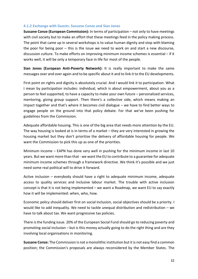#### <span id="page-31-0"></span>**4.1.2 Exchange with Guests: Sussane Conze and Sian Jones**

**Sussane Conze (European Commission):** In terms of participation – not only to have meetings with civil society but to make an effort that these meetings feed in the policy making process. The point that came up in several workshops is to value human dignity and stop with blaming the poor for being poor – this is the issue we need to work on and start a new discourse, discussion culture. To make efforts on improving minimum income schemes is essential – if it works well, it will be only a temporary face in life for most of the people.

**Sian Jones (European Anti-Poverty Network):** It is really important to make the same messages over and over again and to be specific about it and to link it to the EU developments.

First point on rights and dignity is absolutely crucial. And I would link it to participation. What I mean by participation includes: individual, which is about empowerment, about you as a person to feel supported, to have a capacity to make your own future – personalized services, mentoring, giving group support. Then there's a collective side, which means making an impact together and that's where it becomes civil dialogue – we have to find better ways to engage people on the ground into that policy debate. For that we've been pushing for guidelines from the Commission.

Adequate affordable housing. This is one of the big area that needs more attention by the EU. The way housing is looked at is in terms of a market – they are very interested in growing the housing market but they don't prioritise the delivery of affordable housing for people. We want the Commission to pick this up as one of the priorities.

Minimum income – EAPN has done very well in pushing for the minimum income in last 10 years. But we want more than that - we want the EU to contribute to a guarantee for adequate minimum income schemes through a framework directive. We think it's possible and we just need some real political will to drive it forward.

Active inclusion – everybody should have a right to adequate minimum income, adequate access to quality services and inclusive labour market. The trouble with active inclusion concept is that it is not being implemented – we want a Roadmap, we want EU to say exactly how it will be implemented: when, who, how.

Economic policy should deliver first on social inclusion, social objectives should be a priority. I would like to add inequality. We need to tackle unequal distribution and redistribution – we have to talk about tax. We want progressive tax policies.

There is the funding issue. 20% of the European Social Fund should go to reducing poverty and promoting social inclusion – but is this money actually going to do the right thing and are they involving local organisations in monitoring.

**Sussane Conze:** The Commission is not a monolithic institution but it is not easy find a common position; the Commission's proposals are always reconsidered by the Member States. The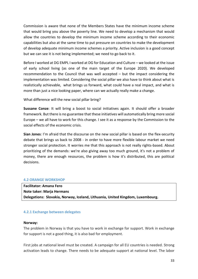Commission is aware that none of the Members States have the minimum income scheme that would bring you above the poverty line. We need to develop a mechanism that would allow the countries to develop the minimum income scheme according to their economic capabilities but also at the same time to put pressure on countries to make the development of develop adequate minimum income schemes a priority. Active inclusion is a good concept but we can see it is not being implemented; we need to go back to it.

Before I worked at DG EMPL I worked at DG for Education and Culture – we looked at the issue of early school living (as one of the main target of the Europe 2020). We developed recommendation to the Council that was well accepted – but the impact considering the implementation was limited. Considering the social pillar we also have to think about what is realistically achievable, what brings us forward, what could have a real impact, and what is more than just a nice looking paper, where can we actually really make a change.

What difference will the new social pillar bring?

**Sussane Conze**: It will bring a boost to social initiatives again. It should offer a broader framework. But there is no guarantee that these initiatives will automatically bring more social Europe – we all have to work for this change. I see it as a response by the Commission to the social effects of the economic crisis.

**Sian Jones**: I'm afraid that the discourse on the new social pillar is based on the flex-security debate that brings us back to 2008 - in order to have more flexible labour market we need stronger social protection. It worries me that this approach is not really rights-based. About prioritizing of the demands: we're also giving away too much ground, it's not a problem of money, there are enough resources, the problem is how it's distributed, this are political decisions.

#### <span id="page-32-0"></span>**4.2 ORANGE WORKSHOP**

**Facilitator: Amana Fero Note taker: Marja Hermans Delegations: Slovakia, Norway, Iceland, Lithuania, United Kingdom, Luxembourg.**

#### <span id="page-32-1"></span>**4.2.1 Exchange between delegates**

#### **Norway:**

The problem in Norway is that you have to work in exchange for support. Work in exchange for support is not a good thing, it is also bad for employment.

First jobs at national level must be created. A campaign for all EU countries is needed. Strong activation leads to change. There needs to be adequate support at national level. The labor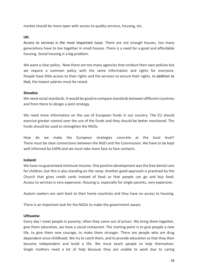market should be more open with access to quality services, housing, etc.

#### **UK:**

Access to services is the most important issue. There are not enough houses, too many generations have to live together in small houses. There is a need for a good and affordable housing. Social housing is a big problem.

We want a clear policy. Now there are too many agencies that conduct their own policies but we require a common policy with the same information and rights for everyone. People have little access to their rights and the services to ensure their rights. In addition to that, the lowest salaries must be raised.

#### **Slovakia:**

We need social standards. It would be good to compare standards between different countries and from there to design a joint strategy.

We need more information on the use of European funds in our country. The EU should exercise greater control over the use of the funds and they should be better monitored. The funds should be used to strengthen the NGOs.

How do we make the European strategies concrete at the local level? There must be clear connections between the NGO and the Commission. We have to be kept well informed by EAPN and we must take more face to face contacts.

# **Iceland:**

We have no guaranteed minimum income. One positive development was the free dental care for children, but this is also standing on the ramp. Another good approach is practiced by the Church that gives credit cards instead of food so that people can go and buy food. Access to services is very expensive. Housing is, especially for single parents, very expensive.

Asylum seekers are sent back to their home countries and they have no access to housing.

There is an important task for the NGOs to make the government aware.

#### **Lithuania:**

Every day I meet people in poverty; often they come out of prison. We bring them together, give them education, we have a social restaurant. The starting point is to give people a new life, to give them new courage, to make them stronger. There are people who are drug dependent since childhood. We try to catch them, and to provide education so that they then become independent and build a life. We must teach people to help themselves. Single mothers need a lot of help because they are unable to work due to caring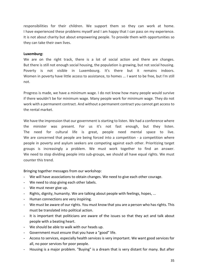responsibilities for their children. We support them so they can work at home. I have experienced these problems myself and I am happy that I can pass on my experience. It is not about charity but about empowering people. To provide them with opportunities so they can take their own lives.

#### **Luxemburg:**

We are on the right track, there is a lot of social action and there are changes. But there is still not enough social housing, the population is growing, but not social housing. Poverty is not visible in Luxembourg. It's there but it remains indoors. Women in poverty have little access to assistance, to homes ... I want to be free, but I'm still not.

Progress is made, we have a minimum wage. I do not know how many people would survive if there wouldn't be for minimum wage. Many people work for minimum wage. They do not work with a permanent contract. And without a permanent contract you cannot get access to the rental market.

We have the impression that our government is starting to listen. We had a conference where the minister was present. For us it's not fast enough, but they listen. The need for cultural life is great, people need mental space to live. We are concerned that people are being forced into a competition - a competition where people in poverty and asylum seekers are competing against each other. Prioritizing target groups is increasingly a problem. We must work together to find an answer. We need to stop dividing people into sub-groups, we should all have equal rights. We must counter this trend.

Bringing together messages from our workshop:

- We will have associations to obtain changes. We need to give each other courage.
- We need to stop giving each other labels.
- We must never give up.
- Rights, dignity, humanity. We are talking about people with feelings, hopes, ...
- Human connections are very inspiring.
- We must be aware of our rights. You must know that you are a person who has rights. This must be translated into political action.
- It is important that politicians are aware of the issues so that they act and talk about people with a beating heart.
- We should be able to walk with our heads up.
- Government must ensure that you have a "good" life.
- Access to services, especially health services is very important. We want good services for all, no poor services for poor people.
- Housing is a major problem. "Buying" is a dream that is very distant for many. But after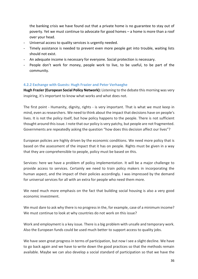the banking crisis we have found out that a private home is no guarantee to stay out of poverty. Yet we must continue to advocate for good homes – a home is more than a roof over your head.

- Universal access to quality services is urgently needed.
- Timely assistance is needed to prevent even more people get into trouble, waiting lists should not exist.
- An adequate income is necessary for everyone. Social protection is necessary.
- People don't work for money, people work to live, to be useful, to be part of the community.

# <span id="page-35-0"></span>**4.2.2 Exchange with Guests: Hugh Frazier and Peter Verhaeghe**

**Hugh Frazier (European Social Policy Network):** Listening to the debate this morning was very inspiring, it's important to know what works and what does not.

The first point - Humanity, dignity, rights - is very important. That is what we must keep in mind, even as researchers. We need to think about the impact that decisions have on people's lives. It is not the policy itself, but how policy happens to the people. There is not sufficient thought around this issue. I note that our policy is very patchy, but people are not fragmented. Governments are repeatedly asking the question "how does this decision affect our lives"?

European policies are highly driven by the economic conditions. We need more policy that is based on the assessment of the impact that it has on people. Rights must be given in a way that they are comprehensible to people, policy must be based on this.

Services: here we have a problem of policy implementation. It will be a major challenge to provide access to services. Certainly we need to train policy makers in incorporating the human aspect, and the impact of their policies accordingly. I was impressed by the demand for universal services for all with an extra for people who need them more.

We need much more emphasis on the fact that building social housing is also a very good economic investment.

We must dare to ask why there is no progress in the, for example, case of a minimum income? We must continue to look at why countries do not work on this issue?

Work and employment is a key issue. There is a big problem with unsafe and temporary work. Also the European funds could be used much better to support access to quality jobs.

We have seen great progress in terms of participation, but now I see a slight decline. We have to go back again and we have to write down the good practices so that the methods remain available. Maybe we can also develop a social standard of participation so that we have the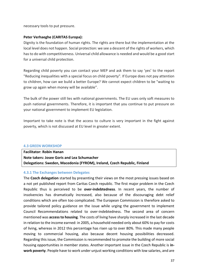necessary tools to put pressure.

# **Peter Verhaeghe (CARITAS Europa):**

Dignity is the foundation of human rights. The rights are there but the implementation at the local level does not happen. Social protection: we see a descent of the rights of workers, which has to do with competitiveness. Universal child allowance is needed and would be a good start for a universal child protection.

Regarding child poverty you can contact your MEP and ask them to say 'yes' to the report "Reducing inequalities with a special focus on child poverty". If Europe does not pay attention to children, how can we build a better Europe? We cannot expect children to be "waiting to grow up again when money will be available".

The bulk of the power still lies with national governments. The EU uses only soft measures to push national governments. Therefore, it is important that you continue to put pressure on your national government to implement EU legislation.

Important to take note is that the access to culture is very important in the fight against poverty, which is not discussed at EU level in greater extent.

#### <span id="page-36-0"></span>**4.3 GREEN WORKSHOP**

**Facilitator: Robin Hanan Note takers: Josee Goris and Lea Schumacher Delegations: Sweden, Macedonia (FYROM), Ireland, Czech Republic, Finland**

# <span id="page-36-1"></span>**4.3.1 The Exchanges between Delegates**

The **Czech delegation** started by presenting their views on the most pressing issues based on a not yet published report from Caritas Czech republic. The first major problem in the Czech Republic thus is perceived to be **over-indebtedness**. In recent years, the number of insolvencies has dramatically increased, also because of the discouraging debt relief conditions which are often too complicated. The European Commission is therefore asked to provide tailored policy guidance on the issue while urging the government to implement Council Recommendations related to over-indebtedness. The second area of concern mentioned was **access to housing**. The costs of living have sharply increased in the last decade in relation to the income earned: in 2005, a household needed only about 60% to pay for costs of living, whereas in 2012 this percentage has risen up to over 80%. This made many people moving to commercial housing, also because decent housing possibilities decreased. Regarding this issue, the Commission is recommended to promote the building of more social housing opportunities in member states. Another important issue in the Czech Republic is **inwork poverty**. People have to work under unjust working conditions with low salaries, and are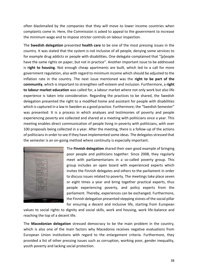often blackmailed by the companies that they will move to lower income countries when complaints come in. Here, the Commission is asked to appeal to the government to increase the minimum wage and to impose stricter controls on labour inspection.

The **Swedish delegation** presented **health care** to be one of the most pressing issues in the country. It was stated that the system is not inclusive of all people, denying some services to for example drug addicts or people with disabilities. One delegate complained that "[p]eople have the same rights on paper, but not in practice". Another important issue to be addressed is **right to housing**. Not enough cheap apartments are built, which led to a call for more government regulation, also with regard to minimum income which should be adjusted to the inflation rate in the country. The next issue mentioned was the **right to be part of the community**, which is important to strengthen self-esteem and inclusion. Furthermore, a **right to labour market education** was called for, a labour market where not only work but also life experience is taken into consideration. Regarding the practices to be shared, the Swedish delegation presented the right to a modified home and assistant for people with disabilities which is captured in a law in Sweden as a good practice. Furthermore, the "Swedish Semester" was presented: It is a process in which analyses and testimonies of poverty and people experiencing poverty are collected and shared at a meeting with politicians once a year. This meeting enables direct communication of people living in poverty with politicians, with over 100 proposals being collected in a year. After the meeting, there is a follow-up of the actions of politicians in order to see if they have implemented some ideas. The delegates stressed that the semester is an on-going method where continuity is especially important.



The **Finnish delegation** shared their own good example of bringing poor people and politicians together: Since 2008, they regularly meet with parliamentarians in a so-called poverty group. This group includes an open board with experienced experts which invites the Finnish delegates and others to the parliament in order to discuss issues related to poverty. The meetings take place seven or eight times a year and bring together practical experts, thus people experiencing poverty, and policy experts from the parliament. Thereby, experiences can be exchanged. Furthermore, the Finnish delegation presented stepping stones of the social pillar for ensuring a decent and inclusive life, starting from European

values to social rights to dignity and social skills, work and housing, work life-balance and reaching the top of a decent life.

The **Macedonian delegation** stressed democracy to be the main problem in the country, which is also one of the main factors why Macedonia receives negative evaluations from European Union institutions with regard to the enlargement criteria. Furthermore, they provided a list of other pressing issues such as corruption, working poor, gender inequality, youth poverty and lacking social protection.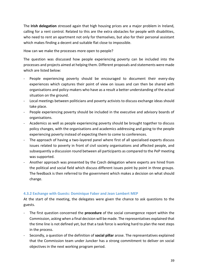The **Irish delegation** stressed again that high housing prices are a major problem in Ireland, calling for a rent control. Related to this are the extra obstacles for people with disabilities, who need to rent an apartment not only for themselves, but also for their personal assistant which makes finding a decent and suitable flat close to impossible.

How can we make the processes more open to people?

The question was discussed how people experiencing poverty can be included into the processes and projects aimed at helping them. Different proposals and statements were made which are listed below:

- People experiencing poverty should be encouraged to document their every-day experiences which captures their point of view on issues and can then be shared with organisations and policy-makers who have as a result a better understanding of the actual situation on the ground.
- Local meetings between politicians and poverty activists to discuss exchange ideas should take place.
- People experiencing poverty should be included in the executive and advisory boards of organisations.
- Academics as well as people experiencing poverty should be brought together to discuss policy changes, with the organisations and academics addressing and going to the people experiencing poverty instead of expecting them to come to conferences.
- The approach of having a two-layered panel where first of all specialised experts discuss issues related to poverty in front of civil society organisations and affected people, and subsequently a discussion round between all participants as compared to the PeP meeting was supported.
- Another approach was presented by the Czech delegation where experts are hired from the political and social field which discuss different issues point by point in three groups. The feedback is then referred to the government which makes a decision on what should change.

# <span id="page-38-0"></span>**4.3.2 Exchange with Guests: Dominique Faber and Jean Lambert MEP**

At the start of the meeting, the delegates were given the chance to ask questions to the guests.

- The first question concerned the **procedure** of the social convergence report within the Commission, asking when a final decision will be made. The representatives explained that the time line is not defined yet, but that a task force is working hard to plan the next steps in the process.
- Secondly, a question of the definition of **social pillar** arose. The representatives explained that the Commission team under Juncker has a strong commitment to deliver on social objectives in the next working program period.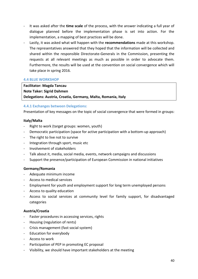- It was asked after the **time scale** of the process, with the answer indicating a full year of dialogue planned before the implementation phase is set into action. For the implementation, a mapping of best practices will be done.
- Lastly, it was asked what will happen with the **recommendations** made at this workshop. The representatives answered that they hoped that the information will be collected and shared within the responsible Directorate-Generals in the Commission, presenting the requests at all relevant meetings as much as possible in order to advocate them. Furthermore, the results will be used at the convention on social convergence which will take place in spring 2016.

# <span id="page-39-0"></span>**4.4 BLUE WORKSHOP**

**Facilitator: Magda Tancau Note Taker: Sigrid Dahmen Delegations: Austria, Croatia, Germany, Malta, Romania, Italy**

#### <span id="page-39-1"></span>**4.4.1 Exchanges between Delegations:**

Presentation of key messages on the topic of social convergence that were formed in groups:

#### **Italy/Malta**

- Right to work (target groups: women, youth)
- Democratic participation (space for active participation with a bottom-up approach)
- The right to live not to survive
- Integration through sport, music etc
- Involvement of stakeholders
- Talk about it, media, social media, events, network campaigns and discussions
- Support the presence/participation of European Commission in national initiatives

#### **Germany/Romania**

- Adequate minimum income
- Access to medical services
- Employment for youth and employment support for long term unemployed persons
- Access to quality education
- Access to social services at community level for family support, for disadvantaged categories

# **Austria/Croatia**

- Faster procedures in accessing services, rights
- Housing (regulation of rents)
- Crisis management (fast social system)
- Education for everybody
- Access to work
- Participation of PEP in promoting EC proposal
- Visibility, we should have important stakeholders at the meeting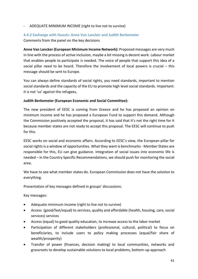#### - ADEQUATE MINIMUM INCOME (right to live not to survive)

#### <span id="page-40-0"></span>**4.4.2 Exchange with Guests: Anne Van Lancker and Judith Berkemeier**

Comments from the panel on the key decisions

**Anne Van Lancker (European Minimum Income Network):** Proposed messages are very much in line with the process of active inclusion, maybe a bit missing is decent work. Labour market that enables people to participate is needed. The voice of people that support this idea of a social pillar need to be heard. Therefore the involvement of local powers is crucial – this message should be sent to Europe.

You can always define standards of social rights, you need standards, important to mention social standards and the capacity of the EU to promote high level social standards. Important: it is not 'us' against the refugees,

#### **Judith Berkemeier (European Economic and Social Committee):**

The new president of EESC is coming from Greece and he has proposed an opinion on minimum income and he has proposed a European Fund to support this demand. Although the Commission positively accepted the proposal, it has said that it's not the right time for it because member states are not ready to accept this proposal. The EESC will continue to push for this.

EESC works on social and economic affairs. According to EESC's view, the European pillar for social rights is a window of opportunities. What they want is benchmarks - Member States are responsible for this, EU can give guidance. Integration of social issues into economic life is needed – in the Country Specific Recommendations, we should push for monitoring the social area.

We have to see what member states do. European Commission does not have the solution to everything.

Presentation of key messages defined in groups' discussions:

Key messages:

- Adequate minimum income (right to live not to survive)
- Access (good/fast/equal) to services, quality and affordable (health, housing, care, social services) services
- Access (equal) to good quality education, to increase access to the labor market
- Participation of different stakeholders (professional, cultural, political) to focus on beneficiaries, to include users to policy making processes (equal/fair share of wealth/prosperity)
- Transfer of power (finances, decision making) to local communities, networks and grassroots to develop sustainable solutions to local problems, bottom-up approach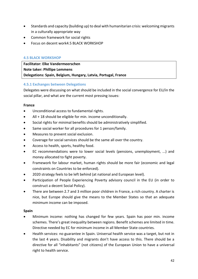- Standards and capacity (building up) to deal with humanitarian crisis: welcoming migrants in a culturally appropriate way
- Common framework for social rights
- Focus on decent work4.5 BLACK WORKSHOP

#### <span id="page-41-0"></span>**4.5 BLACK WORKSHOP**

**Facilitator: Elke Vandermeerschen Note taker: Phillipe Lemmens Delegations: Spain, Belgium, Hungary, Latvia, Portugal, France**

#### <span id="page-41-1"></span>**4.5.1 Exchanges between Delegations**

Delegates were discussing on what should be included in the social convergence for EU/in the social pillar, and what are the current most pressing issues:

#### **France**

- Unconditional access to fundamental rights.
- All + 18 should be eligible for min. income unconditionally.
- Social rights for minimal benefits should be administratively simplified.
- Same social worker for all procedures for 1 person/family.
- Measures to prevent social exclusion.
- Coverage for social services should be the same all over the country.
- Access to health, sports, healthy food.
- EC recommendations were to lower social levels (pensions, unemployment, ...) and money allocated to fight poverty.
- Framework for labour market, human rights should be more fair (economic and legal constraints on Countries to be enforced).
- 2020 strategy feels to be left behind (at national and European level).
- Participation of People Experiencing Poverty advisory council in the EU (in order to construct a decent Social Policy).
- There are between 2.7 and 3 million poor children in France, a rich country. A charter is nice, but Europe should give the means to the Member States so that an adequate minimum income can be imposed.

#### **Spain**

- Minimum income: nothing has changed for few years. Spain has poor min. income schemes. There's great inequality between regions. Benefit schemes are limited in time. Directive needed by EC for minimum income in all Member State countries.
- Health services: no guarantee in Spain. Universal health service was a target, but not in the last 4 years. Disability and migrants don't have access to this. There should be a directive for all "inhabitants" (not citizens) of the European Union to have a universal right to health service.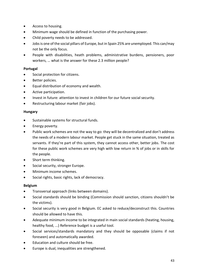- Access to housing.
- Minimum wage should be defined in function of the purchasing power.
- Child poverty needs to be addressed.
- Jobs is one of the social pillars of Europe, but in Spain 25% are unemployed. This can/may not be the only focus.
- People with disabilities, heath problems, administrative burdens, pensioners, poor workers, … what is the answer for these 2.3 million people?

# **Portugal**

- Social protection for citizens.
- Better policies.
- **Equal distribution of economy and wealth.**
- Active participation.
- Invest in future: attention to invest in children for our future social security.
- Restructuring labour market (fair jobs).

# **Hungary**

- Sustainable systems for structural funds.
- Energy poverty.
- Public work schemes are not the way to go: they will be decentralized and don't address the needs of a modern labour market. People get stuck in the same situation, treated as servants. If they're part of this system, they cannot access other, better jobs. The cost for these public work schemes are very high with low return in % of jobs or in skills for the people.
- Short term thinking.
- Social security, stronger Europe.
- Minimum income schemes.
- Social rights, basic rights, lack of democracy.

# **Belgium**

- Transversal approach (links between domains).
- Social standards should be binding (Commission should sanction, citizens shouldn't be the victims).
- Social security is very good in Belgium. EC asked to reduce/deconstruct this. Countries should be allowed to have this.
- Adequate minimum income to be integrated in main social standards (heating, housing, healthy food, ...) Reference budget is a useful tool.
- Social services/standards mandatory and they should be opposable (claims if not foreseen) and automatically awarded.
- Education and culture should be free.
- Europe is dual, inequalities are strengthened.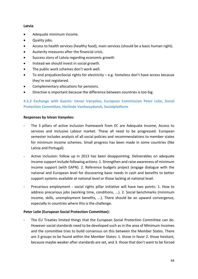# **Latvia**

- Adequate minimum income.
- Quality jobs.
- Access to health services (healthy food), main services (should be a basic human right).
- Austerity measures after the financial crisis.
- Success story of Latvia regarding economic growth
- Instead we should invest in social growth.
- The public work schemes don't work well.
- To end prejudicesSocial rights for electricity e.g. homeless don't have access because they're not registered.
- Complementary allocations for pensions.
- Directive is important because the difference between countries is too big.

# <span id="page-43-0"></span>**4.5.2 Exchange with Guests: Istvan Vanyolos, European Commission Peter Lelie, Social Protection Committee, Herlinde Vanhooydonck, Socialplatform**

#### **Responses by Istvan Vanyolos:**

- The 3 pillars of active inclusion framework from EC are Adequate Income, Access to services and Inclusive Labour market. These all need to be progressed. European semester includes analysis of all social policies and recommendations to member states for minimum income schemes. Small progress has been made in some countries (like Latvia and Portugal).
- Active inclusion: follow up in 2013 has been disappointing. Deliverables on adequate income support include following actions: 1. Strengthen and raise awareness of minimum income support (with EAPN). 2. Reference budgets project (engage dialogue with the national and European level for discovering basic needs in cash and benefits to better support systems available at national level or those lacking at national level.
- Precarious employment social rights pillar initiative will have two points: 1. How to address precarious jobs (working time, conditions, ...). 2. Social benchmarks (minimum income, skills, unemployment benefits, ...). There should be an upward convergence, especially in countries where this is the challenge.

# **Peter Lelie (European Social Protection Committee):**

The EU Treaties limited things that the European Social Protection Committee can do. However social standards need to be developed such as in the area of Minimum Incomes and the committee tries to build consensus on this between the Member States. There are 3 groups to be found within the Member States: 1. those in favor 2. those hesitant, because maybe weaker after standards are set, and 3. those that don't want to be forced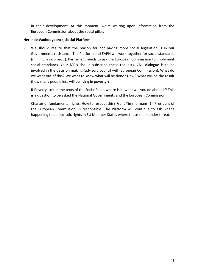in their development. At this moment, we're waiting upon information from the European Commission about the social pillar.

# **Herlinde Vanhooydonck, Social Platform:**

- We should realize that the reason for not having more social legislation is in our Governments resistance. The Platform and EAPN will work together for social standards (minimum income, ..). Parliament needs to ask the European Commission to implement social standards. Your MP's should subscribe these requests. Civil dialogue is to be involved in the decision making (advisory council with European Commission). What do we want out of this? We want to know what will be done? How? What will be the result (how many people less will be living in poverty)?
- If Poverty isn't in the texts of the Social Pillar, where is it, what will you do about it? This is a question to be asked the National Governments and the European Commission.
- Charter of fundamental rights. How to respect this? Frans Timmermans, 1<sup>st</sup> President of the European Commission, is responsible. The Platform will continue to ask what's happening to democratic rights in EU Member States where these seem under threat.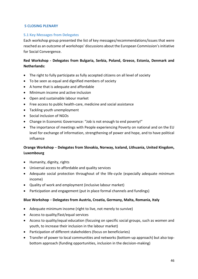#### <span id="page-45-0"></span>**5 CLOSING PLENARY**

#### <span id="page-45-1"></span>**5.1 Key Messages from Delegates**

Each workshop group presented the list of key messages/recommendations/issues that were reached as an outcome of workshops' discussions about the European Commission's initiative for Social Convergence.

# **Red Workshop - Delegates from Bulgaria, Serbia, Poland, Greece, Estonia, Denmark and Netherlands:**

- The right to fully participate as fully accepted citizens on all level of society
- To be seen as equal and dignified members of society
- A home that is adequate and affordable
- Minimum income and active inclusion
- Open and sustainable labour market
- Free access to public health-care, medicine and social assistance
- Tackling youth unemployment
- Social inclusion of NGOs
- Change in Economic Governance: "Job is not enough to end poverty!"
- The importance of meetings with People experiencing Poverty on national and on the EU level for exchange of information, strengthening of power and hope, and to have political influence

# **Orange Workshop** – **Delegates from Slovakia, Norway, Iceland, Lithuania, United Kingdom, Luxembourg**

- Humanity, dignity, rights
- Universal access to affordable and quality services
- Adequate social protection throughout of the life-cycle (especially adequate minimum income)
- Quality of work and employment (inclusive labour market)
- Participation and engagement (put in place formal channels and fundings)

#### **Blue Workshop** – **Delegates from Austria, Croatia, Germany, Malta, Romania, Italy**

- Adequate minimum income (right to live, not merely to survive)
- Access to quality/fast/equal services
- Access to quality/equal education (focusing on specific social groups, such as women and youth, to increase their inclusion in the labour market)
- Participation of different stakeholders (focus on beneficiaries)
- Transfer of power to local communities and networks (bottom-up approach) but also topbottom approach (funding opportunities, inclusion in the decision-making)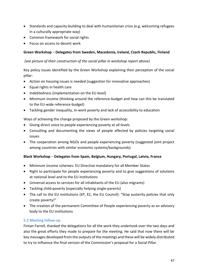- Standards and capacity-building to deal with humanitarian crisis (e.g. welcoming refugees in a culturally appropriate way)
- Common framework for social rights
- Focus on access to decent work

# **Green Workshop** – **Delegates from Sweden, Macedonia, Ireland, Czech Republic, Finland**

# *(see picture of their construction of the social pillar in workshop report above)*

Key policy issues identified by the Green Workshop explaining their perception of the social pillar:

- Action on housing issues is needed (suggestion for innovative approaches)
- Equal rights in health care
- Indebtedness (implementation on the EU level)
- Minimum income (thinking around the reference-budget and how can this be translated to the EU-wide reference-budget)
- Tackling gender inequality, in-work poverty and lack of accessibility to education

# Ways of achieving the change proposed by the Green workshop:

- Giving direct voice to people experiencing poverty at all levels
- Consulting and documenting the views of people affected by policies targeting social issues
- The cooperation among NGOs and people experiencing poverty (suggested joint project among countries with similar economic systems/backgrounds)

# **Black Workshop** – **Delegates from Spain, Belgium, Hungary, Portugal, Latvia, France**

- Minimum income schemes: EU Directive mandatory for all Member States
- Right to participate for people experiencing poverty and to give suggestions of solutions at national level and to the EU institutions
- Universal access to services for all inhabitants of the EU (also migrants)
- Tackling child-poverty (especially helping single-parents)
- The call to the EU institutions (EP, EC, the EU Council): "Stop austerity policies that only create poverty!"
- The creation of the permanent Committee of People experiencing poverty as an advisory body to the EU institutions

# <span id="page-46-0"></span>**5.2 Meeting follow-up**

Fintan Farrell, thanked the delegations for all the work they undertook over the two days and also the great efforts they made to prepare for the meeting. He said that now there will be key messages developed from the outputs of the meetings and these will be widely distributed to try to influence the final version of the Commission's proposal for a Social Pillar.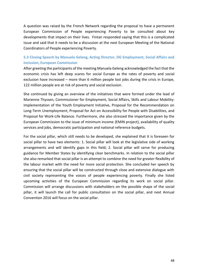A question was raised by the French Network regarding the proposal to have a permanent European Commission of People experiencing Poverty to be consulted about key developments that impact on their lives. Fintan responded saying that this is a complicated issue and said that it needs to be a discussion at the next European Meeting of the National Coordinators of People experiencing Poverty.

# <span id="page-47-0"></span>**5.3 Closing Speech by Manuela Geleng, Acting Director, DG Employment, Social Affairs and Inclusion, European Commission**

After greeting the participants of the meeting Manuela Geleng acknowledged the fact that the economic crisis has left deep scares for social Europe as the rates of poverty and social exclusion have increased – more than 6 million people lost jobs during the crisis in Europe, 122 million people are at risk of poverty and social exclusion.

She continued by giving an overview of the initiatives that were formed under the lead of Marienne Thyssen, Commissioner for Employment, Social Affairs, Skills and Labour Mobility: Implementation of the Youth Employment Initiative, Proposal for the Recommendation on Long-Term Unemployment, Proposal for Act on Accessibility for People with Disabilities, and Proposal for Work-Life Balance. Furthermore, she also stressed the importance given by the European Commission to the issue of minimum income (EMIN project), availability of quality services and jobs, democratic participation and national reference budgets.

For the social pillar, which still needs to be developed, she explained that it is foreseen for social pillar to have two elements: 1. Social pillar will look at the legislative side of working arrangements and will identify gaps in this field; 2. Social pillar will serve for producing guidance for Member States by identifying clear benchmarks. In relation to the social pillar she also remarked that social pillar is an attempt to combine the need for greater flexibility of the labour market with the need for more social protection. She concluded her speech by ensuring that the social pillar will be constructed through close and extensive dialogue with civil society representing the voices of people experiencing poverty. Finally she listed upcoming activities of the European Commission regarding its work on social pillar. Commission will arrange discussions with stakeholders on the possible shape of the social pillar, it will launch the call for public consultation on the social pillar, and next Annual Convention 2016 will focus on the social pillar.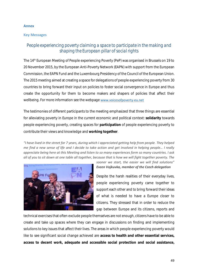#### <span id="page-48-0"></span>**Annex**

#### <span id="page-48-1"></span>**Key Messages**

# *People experiencing poverty claiming a space to participate in the making and shaping the European pillar of social rights*

The 14th European Meeting of People experiencing Poverty (PeP) was organised in Brussels on 19 to 20 November 2015, by the European Anti-Poverty Network (EAPN) with support from the European Commission, the EAPN Fund and the Luxembourg Presidency of the Council of the European Union. The 2015 meeting aimed at creating a space for delegations of people experiencing poverty from 30 countries to bring forward their input on policies to foster social convergence in Europe and thus create the opportunity for them to become makers and shapers of policies that affect their wellbeing. For more information see the webpage [www.voicesofpoverty-eu.net](http://www.voicesofpoverty-eu.net/)

The testimonies of different participants to the meeting emphasized that three things are essential for alleviating poverty in Europe in the current economic and political context: **solidarity** towards people experiencing poverty, creating spaces for **participation** of people experiencing poverty to contribute their views and knowledge and **working together**.

*"I have lived in the street for 7 years, during which I appreciated getting help from people. They helped me find a new sense of life and I decide to take action and get involved in helping people… I really appreciate being here at this Meeting and listen to so many experiences form so many countries. I ask all of you to sit down at one table all together, because that is how we will fight together poverty. The* 



# *sooner we start, the easier we will find solutions" Evzen Vojkuvka, member of the Czech delegation*

Despite the harsh realities of their everyday lives, people experiencing poverty came together to support each other and to bring forward their ideas of what is needed to have a Europe closer to citizens. They stressed that in order to reduce the gap between Europe and its citizens, reports and

technical exercises that often exclude people themselves are not enough, citizens have to be able to create and take up spaces where they can engage in discussions on finding and implementing solutions to key issues that affect their lives. The areas in which people experiencing poverty would like to see significant social change achieved are **access to health and other essential services, access to decent work, adequate and accessible social protection and social assistance,**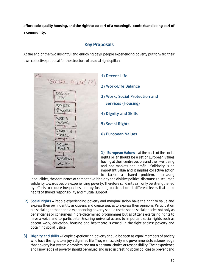**affordable quality housing, and the right to be part of a meaningful context and being part of a community.** 

# **Key Proposals**

At the end of the two insightful and enriching days, people experiencing poverty put forward their own collective proposal for the structure of a social rights pillar:



**1) Decent Life 2) Work-Life Balance 3) Work, Social Protection and Services (Housing) 4) Dignity and Skills 5) Social Rights 6) European Values**

1) European Values - at the basis of the social rights pillar should be a set of European values having at their centre people and their wellbeing and not markets and profit. Solidarity is an important value and it implies collective action to tackle a shared problem. Increasing

inequalities, the dominance of competitive ideology and divisive political discourses discourage solidarity towards people experiencing poverty. Therefore solidarity can only be strengthened by efforts to reduce inequalities, and by fostering participation at different levels that build habits of shared responsibility and mutual support.

- **2) Social rights** People experiencing poverty and marginalisation have the right to value and express their own identity as citizens and create spaces to express their opinions. Participation is a social right that people experiencing poverty should use to shape social policies not only as beneficiaries or consumers in pre-determined programmes but as citizens exercising rights to have a voice and to participate. Ensuring universal access to important social rights such as decent work, education, housing and healthcare is crucial in the fight against poverty and obtaining social justice.
- **3) Dignity and skills** People experiencing poverty should be seen as equal members of society who have the right to enjoy a dignified life. They want society and governments to acknowledge that poverty is a systemic problem and not a personal choice or responsibility. Their experience and knowledge of poverty should be valued and used in creating social policies to prevent and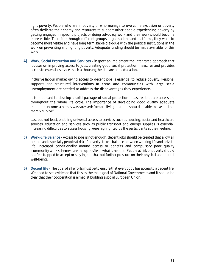fight poverty. People who are in poverty or who manage to overcome exclusion or poverty often dedicate their energy and resources to support other people experiencing poverty by getting engaged in specific projects or doing advocacy work and their work should become more visible. Therefore through different groups, organisations and platforms, they want to become more visible and have long term stable dialogue with the political institutions in the work on preventing and fighting poverty. Adequate funding should be made available for this work.

**4) Work, Social Protection and Services -** Respect an implement the integrated approach that focuses on improving access to jobs, creating good social protection measures and provides access to essential services such as housing, healthcare and education.

Inclusive labour market giving access to decent jobs is essential to reduce poverty. Personal supports and structured interventions in areas and communities with large scale unemployment are needed to address the disadvantages they experience.

It is important to develop a solid package of social protection measures that are accessible throughout the whole life cycle. The importance of developing good quality adequate minimum income schemes was stressed: "people living on them should be able to live and not merely survive".

Last but not least, enabling universal access to services such as housing, social and healthcare services, education and services such as public transport and energy supplies is essential. Increasing difficulties to access housing were highlighted by the participants at the meeting.

- **5) Work-Life Balance** Access to jobs is not enough, decent jobs should be created that allow all people and especially people at risk of poverty strike a balance between working life and private life. Increased conditionality around access to benefits and compulsory poor quality 'community work schemes' are the opposite of what is needed. People at risk of poverty should not feel trapped to accept or stay in jobs that put further pressure on their physical and mental well-being.
- <span id="page-50-0"></span>**6) Decent life** - The goal of all efforts must be to ensure that everybody has access to a decent life. We need to see evidence that this as the main goal of National Governments and it should be clear that their cooperation is aimed at building a social European Union.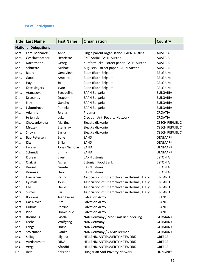# **List of Participants**

| <b>Title</b> | <b>Last Name</b>            | <b>First Name</b> | <b>Organisation</b>                         | <b>Country</b>        |
|--------------|-----------------------------|-------------------|---------------------------------------------|-----------------------|
|              | <b>National Delegations</b> |                   |                                             |                       |
| Mrs.         | Femi-Mebarek                | Anna              | Single parent organisation, EAPN-Austria    | <b>AUSTRIA</b>        |
| Mrs.         | Geschwendtner               | Henriette         | EXIT-Sozial, EAPN-Austria                   | <b>AUSTRIA</b>        |
| Mr.          | Nachtmann                   | Georg             | Kupfermuckn - street paper, EAPN-Austria    | <b>AUSTRIA</b>        |
| Mr.          | Schuette                    | Michael           | Augustin - street paper, EAPN-Austria       | <b>AUSTRIA</b>        |
| Mrs.         | <b>Baert</b>                | Geneviève         | Bapn (Eapn Belgium)                         | <b>BELGIUM</b>        |
| Mrs.         | Garcia                      | Amparo            | Bapn (Eapn Belgium)                         | <b>BELGIUM</b>        |
| Mr.          | Hayen                       | Jo                | Bapn (Eapn Belgium)                         | <b>BELGIUM</b>        |
| Mr.          | Ketelslegers                | Yvon              | Bapn (Eapn Belgium)                         | <b>BELGIUM</b>        |
| Mrs.         | Atanasova                   | Zvezdelina        | <b>EAPN Bulgaria</b>                        | <b>BULGARIA</b>       |
| Dr.          | Draganov                    | Dragomir          | <b>EAPN Bulgaria</b>                        | <b>BULGARIA</b>       |
| Mr.          | Iliev                       | Gancho            | <b>EAPN Bulgaria</b>                        | <b>BULGARIA</b>       |
| Mrs.         | Lybomirova                  | Pamela            | <b>EAPN Bulgaria</b>                        | <b>BULGARIA</b>       |
| Ms.          | Adamlje                     | Jelena            | Pragma                                      | <b>CROATIA</b>        |
| Mr.          | Hrženjak                    | Luka              | Croatian Anti Poverty Network               | <b>CROATIA</b>        |
| Ms.          | Chowaniokova                | Martina           | Slezska diakonie                            | <b>CZECH REPUBLIC</b> |
| Mr.          | Mrozek                      | Stanislav         | Slezska diakonie                            | <b>CZECH REPUBLIC</b> |
| Mrs.         | Siroka                      | Sarka             | Slezska diakonie                            | <b>CZECH REPUBLIC</b> |
| Mrs.         | Bay-Petersen                | Sofie             | SAND                                        | <b>DENMARK</b>        |
| Ms.          | Kjær                        | Shila             | SAND                                        | <b>DENMARK</b>        |
| Mr.          | Laursen                     | Jonas Nicholai    | SAND                                        | <b>DENMARK</b>        |
| Ms.          | Schmidt                     | Emma              | SAND                                        | <b>DENMARK</b>        |
| Mr.          | Kiolein                     | Evert             | <b>EAPN Estonia</b>                         | <b>ESTONIA</b>        |
| Ms.          | Ojakivi                     | Agnes             | <b>Estonian Food Bank</b>                   | <b>ESTONIA</b>        |
| Ms.          | Veesalu                     | Greete            | <b>EAPN Estonia</b>                         | <b>ESTONIA</b>        |
| Mr.          | Viisimaa                    | Heiki             | <b>EAPN Estonia</b>                         | <b>ESTONIA</b>        |
| Mr.          | Haapanen                    | Rauno             | Association of Unemployed in Helsinki, HeTy | <b>FINLAND</b>        |
| Mr.          | Kylmälä                     | Jouni             | Association of Unemployed in Helsinki, HeTy | <b>FINLAND</b>        |
| Mr.          | Lee                         | David             | Association of Unemployed in Helsinki, HeTy | <b>FINLAND</b>        |
| Mrs.         | Siimes                      | Sari              | Association of Unemployed in Helsinki, HeTy | <b>FINLAND</b>        |
| Mr.          | <b>Bourens</b>              | Jean Pierre       | Salvation Army                              | <b>FRANCE</b>         |
| Mrs.         | Das Neves                   | Rita              | Salvation Army                              | <b>FRANCE</b>         |
| Mrs.         | <b>Dubois</b>               | Perrine           | Salvation Army                              | <b>FRANCE</b>         |
| Mrs.         | Pion                        | Dominique         | Salvation Army                              | <b>FRANCE</b>         |
| Mrs.         | <b>Breuhaus</b>             | Gisela            | NAK Germany / Mobil mit Behinderung         | <b>GERMANY</b>        |
| Mr.          | Krebs                       | Wolfgang          | <b>NAK Germany</b>                          | <b>GERMANY</b>        |
| Mr.          | Lange                       | Horst             | <b>NAK Germany</b>                          | <b>GERMANY</b>        |
| Mrs.         | Stolzmann                   | Ivanka            | NAK Germany / VAMV Bremen                   | <b>GERMANY</b>        |
| Ms.          | Saliag                      | Lilgana           | HELLENIC ANTIPOVERTY NETWORK                | <b>GREECE</b>         |
| Ms.          | Vardaramatou                | <b>DINA</b>       | HELLENIC ANTIPOVERTY NETWORK                | <b>GREECE</b>         |
| Ms.          | Vergi                       | Afroditi          | HELLENIC ANTIPOVERTY NETWORK                | <b>GREECE</b>         |
| Dr.          | Jász                        | Krisztina         | Hungarian Anti-Poverty Network              | <b>HUNGARY</b>        |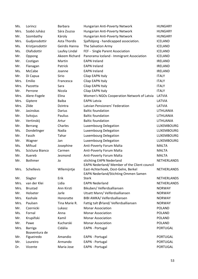| Ms.  | Lorincz         | <b>Barbara</b> | Hungarian Anti-Poverty Network               | <b>HUNGARY</b>   |
|------|-----------------|----------------|----------------------------------------------|------------------|
| Mrs. | Szabó Juhász    | Sára Zsuzsa    | Hungarian Anti-Poverty Network               | <b>HUNGARY</b>   |
| Mr.  | Szombathy       | Károly         | Hungarian Anti-Poverty Network               | <b>HUNGARY</b>   |
| Mrs. | Gudjonsdottir   | Asta Thordis   | Sjalfsbjorg - handicapped association.       | <b>ICELAND</b>   |
| Ms.  | Kristjansdottir | Geirdis Hanna  | The Salvation Army                           | <b>ICELAND</b>   |
| Ms.  | Olafsdottir     | Laufey Lindal  | FEF - Single Parent Association              | <b>ICELAND</b>   |
| Mr.  | Oppong          | Akeem Richard  | Panorama Iceland - Immigrant Association     | <b>ICELAND</b>   |
| Mr.  | Costigan        | Martin         | <b>EAPN Ireland</b>                          | <b>IRELAND</b>   |
| Mr.  | Flanagan        | Patrick        | <b>EAPN Ireland</b>                          | <b>IRELAND</b>   |
| Ms.  | McCabe          | Joanne         | <b>EAPN Ireland</b>                          | <b>IRELAND</b>   |
| Mr.  | Di Capua        | Sirio          | Cilap EAPN Italy                             | <b>ITALY</b>     |
| Mrs. | Emilio          | Francesca      | Cilap EAPN Italy                             | <b>ITALY</b>     |
| Mrs. | Pazzetta        | Sara           | Cilap EAPN Italy                             | <b>ITALY</b>     |
| Mr.  | Perrone         | Nicola         | Cilap EAPN Italy                             | <b>ITALY</b>     |
| Mrs. | Alere-Fogele    | Elina          | Women's NGOs Cooperation Network of Latvia   | LATVIA           |
| Mrs. | Giptere         | <b>Baiba</b>   | <b>EAPN Latvia</b>                           | LATVIA           |
| Mrs. | Zilde           | Dzintra        | Latvian Pensioners' Federation               | LATVIA           |
| Mr.  | Jasinskas       | Darius         | <b>Baltic foundation</b>                     | <b>LITHUANIA</b> |
| Mr.  | Svitojus        | Paulius        | <b>Baltic foundation</b>                     | LITHUANIA        |
| Mr.  | Vertinskij      | Artur          | <b>Baltic foundation</b>                     | LITHUANIA        |
| Mr.  | Berrang         | Charles        | Luxembourg Delegation                        | LUXEMBOURG       |
| Ms.  | Dondelinger     | Nadia          | <b>Luxembourg Delegation</b>                 | LUXEMBOURG       |
| Mr.  | Fassih          | Tahar          | Luxembourg Delegation                        | LUXEMBOURG       |
| Mr.  | Wagner          | Jan            | Luxembourg Delegation                        | LUXEMBOURG       |
| Ms.  | Mifsud          | Josephine      | Anti-Poverty Forum Malta                     | <b>MALTA</b>     |
| Ms.  | Scicluna Bianco | Carmen         | Anti-Poverty Forum Malta                     | <b>MALTA</b>     |
| Mr.  | Xuereb          | Jesmond        | Anti-Poverty Forum Malta                     | <b>MALTA</b>     |
| Mr.  | Bothmer         | Jo             | stichting EAPN Nederland                     | NETHERLANDS      |
|      |                 |                | EAPN Nederland/ Member of the Client council |                  |
| Mrs. | Schellevis      | Wllemijntje    | East-Achterhoek, Oost-Gelre, Berkel          | NETHERLANDS      |
|      |                 |                | EAPN Nederland/Stichting Ommen Samen         |                  |
| Mr.  | Slagter         | Erik           | <b>Sterk</b>                                 | NETHERLANDS      |
| Mrs. | van der Klei    | Lidia          | <b>EAPN Nederland</b>                        | NETHERLANDS      |
| Mrs. | <b>Brustad</b>  | Ann Kirsti     | Bikuben/Velferdsalliansen                    | <b>NORWAY</b>    |
| Mr.  | Holseter        | Jarle          | Utsatt Mann/Velferdsalliansen                | <b>NORWAY</b>    |
| Mrs. | Kashale         | Honoratte      | BIBI AMKA/ Velferdsalliansen                 | <b>NORWAY</b>    |
| Mrs. | Paulsen         | Tina Marie R.  | Fattig talt Ørland/Velferdsalliansen         | <b>NORWAY</b>    |
| Mr.  | Czernicki       | Lukasz         | <b>Monar Association</b>                     | <b>POLAND</b>    |
| Ms.  | Fornal          | Anna           | <b>Monar Association</b>                     | <b>POLAND</b>    |
| Mr.  | Krupiñski       | Kamil          | <b>Monar Association</b>                     | <b>POLAND</b>    |
| Mr.  | Pawe            | Kucharski      | <b>Monar Association</b>                     | <b>POLAND</b>    |
| Mrs. | Barriga         | Cidália        | EAPN - Portugal                              | <b>PORTUGAL</b>  |
|      | Boaventura de   |                |                                              |                  |
| Mr.  | Figueiredo      | Amandio        | EAPN - Portugal                              | <b>PORTUGAL</b>  |
| Mr.  | Loureiro        | Armando        | EAPN - Portugal                              | <b>PORTUGAL</b>  |
| Dr.  | Vicente         | Maria Jose     | <b>EAPN - Portugal</b>                       | <b>PORTUGAL</b>  |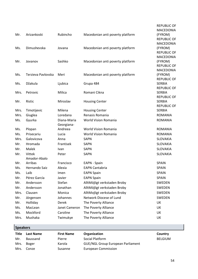|      |                    |               |                                  | <b>REPUBLIC OF</b>            |
|------|--------------------|---------------|----------------------------------|-------------------------------|
|      |                    |               |                                  | <b>MACEDONIA</b>              |
| Mr.  | Arizankoski        | Rubincho      | Macedonian anti poverty platform | (FYROM)                       |
|      |                    |               |                                  | <b>REPUBLIC OF</b>            |
|      |                    |               |                                  | <b>MACEDONIA</b>              |
| Ms.  | Dimushevska        | Jovana        | Macedonian anti poverty platform | (FYROM)                       |
|      |                    |               |                                  | <b>REPUBLIC OF</b>            |
|      |                    |               |                                  | <b>MACEDONIA</b>              |
| Mr.  | Jovanov            | Sashko        | Macedonian anti poverty platform | (FYROM)                       |
|      |                    |               |                                  | <b>REPUBLIC OF</b>            |
|      |                    |               |                                  | <b>MACEDONIA</b>              |
| Ms.  | Terzieva Pavlovska | Meri          | Macedonian anti poverty platform | (FYROM)<br><b>REPUBLIC OF</b> |
| Ms.  | Džakula            | Ljubica       | Grupa 484                        | <b>SERBIA</b>                 |
|      |                    |               |                                  | <b>REPUBLIC OF</b>            |
| Mrs. | Petrovic           | Milica        | Romani Cikna                     | <b>SERBIA</b>                 |
|      |                    |               |                                  | <b>REPUBLIC OF</b>            |
| Mr.  | Ristic             | Miroslav      | <b>Housing Center</b>            | <b>SERBIA</b>                 |
|      |                    |               |                                  | <b>REPUBLIC OF</b>            |
| Mrs. | Timotijevic        | Milena        | <b>Housing Center</b>            | <b>SERBIA</b>                 |
| Mrs. | Giuglea            | Loredana      | Renasis Romania                  | <b>ROMANIA</b>                |
| Ms.  | Gyurka             | Diana-Maria   | <b>World Vision Romania</b>      | <b>ROMANIA</b>                |
|      |                    | Georgiana-    |                                  |                               |
| Ms.  | Plopan             | Andreea       | <b>World Vision Romania</b>      | <b>ROMANIA</b>                |
| Ms.  | Prisecariu         | Lucia         | World Vision Romania             | <b>ROMANIA</b>                |
| Mrs. | Galovicova         | Anna          | <b>SAPN</b>                      | <b>SLOVAKIA</b>               |
| Mr.  | Hromada            | Frantisek     | <b>SAPN</b>                      | <b>SLOVAKIA</b>               |
| Mr.  | Malek              | Ivan          | <b>SAPN</b>                      | <b>SLOVAKIA</b>               |
| Mr.  | Vittek             | Peter         | <b>SAPN</b>                      | <b>SLOVAKIA</b>               |
|      | Amador-Abalo       |               |                                  |                               |
| Mr.  | Arribas            | Francisco     | EAPN - Spain                     | <b>SPAIN</b>                  |
| Ms.  | Hernando Saiz      | Alexia        | <b>EAPN Cantabria</b>            | <b>SPAIN</b>                  |
| Ms.  | Laib               | Imen          | <b>EAPN Spain</b>                | <b>SPAIN</b>                  |
| Mr.  | Pérez García       | Javier        | <b>EAPN Spain</b>                | <b>SPAIN</b>                  |
| Mr.  | Andersson          | Stefan        | AlltMöjligt verkstaden Broby     | SWEDEN                        |
| Mr.  | Andersson          | Jonathan      | AlltMöjligt verkstaden Broby     | SWEDEN                        |
| Mrs. | Clausen            | Monica        | AlltMojligt verkstaden Broby     | SWEDEN                        |
| Mr.  | Jörgensen          | Johannes      | Network Diocese of Lund          | <b>SWEDEN</b>                 |
| Mr.  | Holliday           | Derek         | The Poverty Alliance             | UK                            |
| Ms.  | MacLean            | Janet Cameron | The Poverty Alliance             | UK                            |
| Ms.  | Mockford           | Caroline      | The Poverty Alliance             | UK                            |
| Mrs. | Mushaka            | Twimukye      | The Poverty Alliance             | UK                            |
|      |                    |               |                                  |                               |

# **Speakers**

| Title | Last Name | <b>First Name</b> | Organization                             | Country        |
|-------|-----------|-------------------|------------------------------------------|----------------|
| Mr.   | Baussand  | Pierre            | Social Platform                          | <b>BELGIUM</b> |
| Mrs.  | Boger     | Karola            | <b>GUE/NGL Group European Parliament</b> |                |
| Mrs.  | Conze     | Susanne           | European Commission                      |                |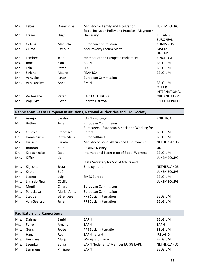| Ms.  | Faber       | Dominique | Ministry for Family and Integration<br>Social Inclusion Policy and Practice - Maynooth | <b>LUXEMBOURG</b>     |
|------|-------------|-----------|----------------------------------------------------------------------------------------|-----------------------|
| Mr.  | Frazer      | Hugh      | University                                                                             | <b>IRELAND</b>        |
|      |             |           |                                                                                        | <b>EUROPEAN</b>       |
| Mrs. | Geleng      | Manuela   | <b>European Commission</b>                                                             | <b>COMISSION</b>      |
| Mr.  | Grima       | Saviour   | Anti-Poverty Forum Malta                                                               | <b>MALTA</b>          |
|      |             |           |                                                                                        | UNITED                |
| Mr.  | Lambert     | Jean      | Member of the European Parliament                                                      | <b>KINGDOM</b>        |
| Ms.  | Jones       | Sian      | <b>EAPN</b>                                                                            | <b>BELGIUM</b>        |
| Mr.  | Lelie       | Peter     | <b>SPC</b>                                                                             | <b>BELGIUM</b>        |
| Mr.  | Striano     | Mauro     | <b>FEANTSA</b>                                                                         | <b>BELGIUM</b>        |
| Mr.  | Vanyolos    | Istvan    | <b>European Commission</b>                                                             |                       |
| Mrs. | Van Lancker | Anne      | <b>EMIN</b>                                                                            | <b>BELGIUM</b>        |
|      |             |           |                                                                                        | <b>OTHER</b>          |
|      |             |           |                                                                                        | <b>INTERNATIONAL</b>  |
| Mr.  | Verhaeghe   | Peter     | <b>CARITAS EUROPA</b>                                                                  | <b>ORGANISATION</b>   |
| Mr.  | Vojkuvka    | Evzen     | Charita Ostrava                                                                        | <b>CZECH REPUBLIC</b> |

# **Representatives of European Institutions, National Authorities and Civil Society**

| Dr.  | Araujo         | Sandra       | EAPN - Portugal                               | <b>PORTUGAL</b>    |
|------|----------------|--------------|-----------------------------------------------|--------------------|
| Ms.  | <b>Buttier</b> | Julie        | <b>European Commission</b>                    |                    |
|      |                |              | Eurocarers - European Association Working for |                    |
| Ms.  | Centola        | Francesca    | Carers                                        | <b>BELGIUM</b>     |
| Dr.  | Hamalainen     | Riitta-Maija | Eurohealthnet                                 | <b>BELGIUM</b>     |
| Ms.  | Hussein        | Faryda       | Ministry of Social Affairs and Employment     | NETHERLANDS        |
| Mr.  | Jourdan        | <b>Stan</b>  | Positive Money                                | UK                 |
| Dr.  | Kabasinkaite   | Dale         | International Federation of Social Workers    | <b>BELGIUM</b>     |
| Mrs. | Kiffer         | Liz          |                                               | <b>LUXEMBOURG</b>  |
|      |                |              | State Secretary for Social Affairs and        |                    |
| Mrs. | Klijnsma       | Jetta        | Employment                                    | <b>NETHERLANDS</b> |
| Mrs. | Kneip          | Zoé          |                                               | <b>LUXEMBOURG</b>  |
| Mr.  | Leonori        | Luigi        | <b>SMES Europa</b>                            | <b>BELGIUM</b>     |
| Mrs. | Lima de Pina   | Cécilia      |                                               | <b>LUXEMBOURG</b>  |
| Ms.  | Monti          | Chiara       | European Commisison                           |                    |
| Mrs. | Paraskeva      | Maria-Anna   | <b>European Commission</b>                    |                    |
| Ms.  | Steppe         | Bérengère    | PPS Social Integration                        | <b>BELGIUM</b>     |
| Mr.  | Van Geertsom   | Julien       | PPS Social Integration                        | <b>BELGIUM</b>     |

|      | <b>Facilitators and Rapporteurs</b> |          |                                   |                    |  |  |  |
|------|-------------------------------------|----------|-----------------------------------|--------------------|--|--|--|
| Mrs. | Dahmen                              | Sigrid   | EAPN                              | <b>BELGIUM</b>     |  |  |  |
| Ms.  | Ferro                               | Amana    | EAPN                              | <b>EAPN</b>        |  |  |  |
| Mrs. | Goris                               | Josée    | PPS Social Integratio             | <b>BELGIUM</b>     |  |  |  |
| Mr.  | Hanan                               | Robin    | <b>EAPN Ireland</b>               | <b>IRELAND</b>     |  |  |  |
| Mrs. | <b>Hermans</b>                      | Marja    | Welzijnszorg vzw                  | <b>BELGIUM</b>     |  |  |  |
| Mrs. | Leemkuil                            | Sonja    | EAPN Nederland/ Member EUISG EAPN | <b>NETHERLANDS</b> |  |  |  |
| Mr.  | Lemmens                             | Philippe | <b>EAPN</b>                       | <b>BELGIUM</b>     |  |  |  |